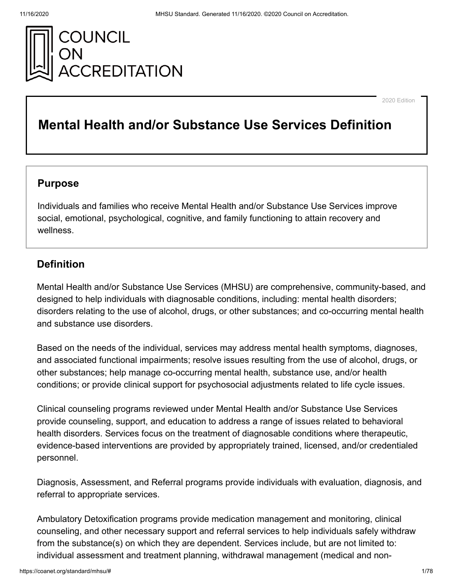

2020 Edition

# **Mental Health and/or Substance Use Services Definition**

## **Purpose**

Individuals and families who receive Mental Health and/or Substance Use Services improve social, emotional, psychological, cognitive, and family functioning to attain recovery and wellness.

## **Definition**

Mental Health and/or Substance Use Services (MHSU) are comprehensive, community-based, and designed to help individuals with diagnosable conditions, including: mental health disorders; disorders relating to the use of alcohol, drugs, or other substances; and co-occurring mental health and substance use disorders.

Based on the needs of the individual, services may address mental health symptoms, diagnoses, and associated functional impairments; resolve issues resulting from the use of alcohol, drugs, or other substances; help manage co-occurring mental health, substance use, and/or health conditions; or provide clinical support for psychosocial adjustments related to life cycle issues.

Clinical counseling programs reviewed under Mental Health and/or Substance Use Services provide counseling, support, and education to address a range of issues related to behavioral health disorders. Services focus on the treatment of diagnosable conditions where therapeutic, evidence-based interventions are provided by appropriately trained, licensed, and/or credentialed personnel.

Diagnosis, Assessment, and Referral programs provide individuals with evaluation, diagnosis, and referral to appropriate services.

Ambulatory Detoxification programs provide medication management and monitoring, clinical counseling, and other necessary support and referral services to help individuals safely withdraw from the substance(s) on which they are dependent. Services include, but are not limited to: individual assessment and treatment planning, withdrawal management (medical and non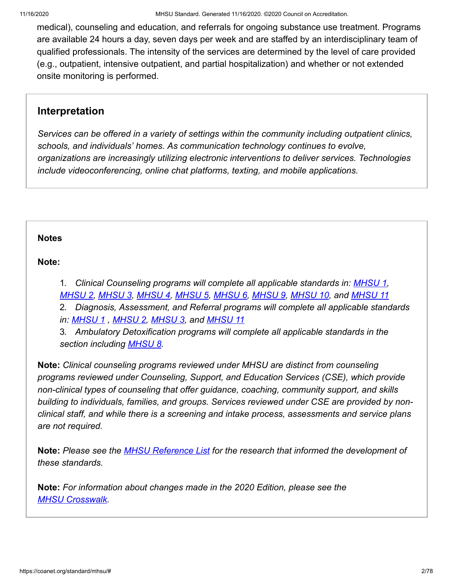medical), counseling and education, and referrals for ongoing substance use treatment. Programs are available 24 hours a day, seven days per week and are staffed by an interdisciplinary team of qualified professionals. The intensity of the services are determined by the level of care provided (e.g., outpatient, intensive outpatient, and partial hospitalization) and whether or not extended onsite monitoring is performed.

## **Interpretation**

*Services can be offered in a variety of settings within the community including outpatient clinics, schools, and individuals' homes. As communication technology continues to evolve, organizations are increasingly utilizing electronic interventions to deliver services. Technologies include videoconferencing, online chat platforms, texting, and mobile applications.*

### **[Notes](#page-1-0)**

## <span id="page-1-0"></span>**Note:**

1. *Clinical Counseling programs will complete all applicable standards in: [MHSU 1](https://coanet.org/standard/mhsu/1/), [MHSU 2](https://coanet.org/standard/mhsu/2/), [MHSU 3](https://coanet.org/standard/mhsu/3/), [MHSU 4](https://coanet.org/standard/mhsu/4/), [MHSU 5](https://coanet.org/standard/mhsu/5/), [MHSU 6](https://coanet.org/standard/mhsu/6/), [MHSU 9](https://coanet.org/standard/mhsu/9/), [MHSU 10](https://coanet.org/standard/mhsu/10/), and [MHSU 11](https://coanet.org/standard/mhsu/11/)*

2. *Diagnosis, Assessment, and Referral programs will complete all applicable standards in: [MHSU 1](https://coanet.org/standard/mhsu/1/) , [MHSU 2,](https://coanet.org/standard/mhsu/2/) [MHSU 3,](https://coanet.org/standard/mhsu/3/) and [MHSU 11](https://coanet.org/standard/mhsu/11/)*

3. *Ambulatory Detoxification programs will complete all applicable standards in the section including [MHSU 8](https://coanet.org/standard/mhsu/8/).*

**Note:** *Clinical counseling programs reviewed under MHSU are distinct from counseling programs reviewed under Counseling, Support, and Education Services (CSE), which provide non-clinical types of counseling that offer guidance, coaching, community support, and skills building to individuals, families, and groups. Services reviewed under CSE are provided by nonclinical staff, and while there is a screening and intake process, assessments and service plans are not required.*

**Note:** *Please see the [MHSU Reference List](https://coa.my.salesforce.com/sfc/p/300000000aAU/a/500000000O9P/IEAOSBEd2rMet7ujw.GZCVl4Mrp9EJU5Fxo0cgaVFYQ) for the research that informed the development of these standards.*

**Note:** *For information about changes made in the 2020 Edition, please see the [MHSU Crosswalk](https://coa.my.salesforce.com/sfc/p/300000000aAU/a/1T0000006eYo/wAeITnzSis9OoS5UPZnX5dnOAT1H7f.8mFpZ7GBiUKw).*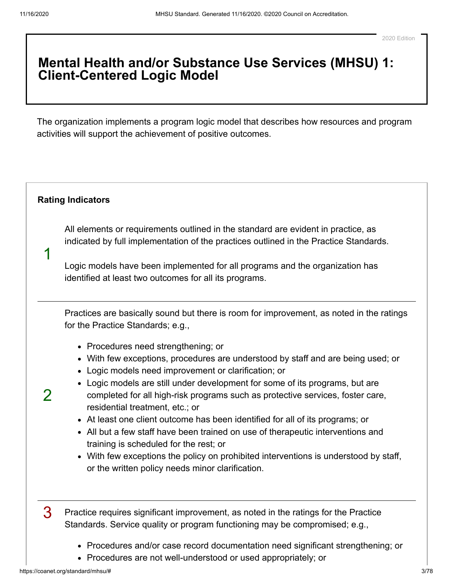## **Mental Health and/or Substance Use Services (MHSU) 1: Client-Centered Logic Model**

The organization implements a program logic model that describes how resources and program activities will support the achievement of positive outcomes.

#### <span id="page-2-0"></span>**[Rating Indicators](#page-2-0)**

1

 $\mathcal{P}$ 

All elements or requirements outlined in the standard are evident in practice, as indicated by full implementation of the practices outlined in the Practice Standards.

Logic models have been implemented for all programs and the organization has identified at least two outcomes for all its programs.

Practices are basically sound but there is room for improvement, as noted in the ratings for the Practice Standards; e.g.,

- Procedures need strengthening; or
- With few exceptions, procedures are understood by staff and are being used; or
- Logic models need improvement or clarification; or
- Logic models are still under development for some of its programs, but are completed for all high-risk programs such as protective services, foster care, residential treatment, etc.; or
- At least one client outcome has been identified for all of its programs; or
- All but a few staff have been trained on use of therapeutic interventions and training is scheduled for the rest; or
- With few exceptions the policy on prohibited interventions is understood by staff, or the written policy needs minor clarification.

3 Practice requires significant improvement, as noted in the ratings for the Practice Standards. Service quality or program functioning may be compromised; e.g.,

- Procedures and/or case record documentation need significant strengthening; or
- Procedures are not well-understood or used appropriately; or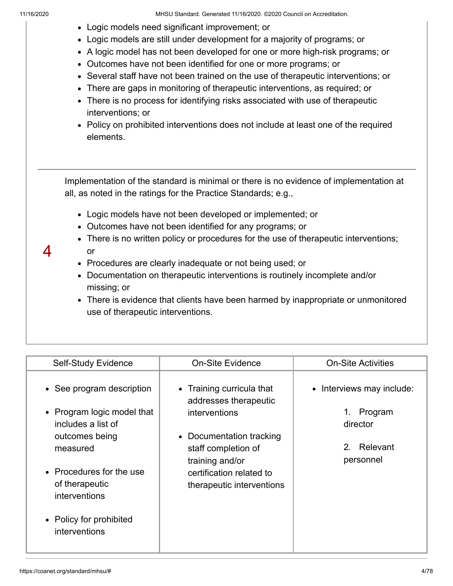- Logic models need significant improvement; or
- Logic models are still under development for a majority of programs; or
- A logic model has not been developed for one or more high-risk programs; or
- Outcomes have not been identified for one or more programs; or
- Several staff have not been trained on the use of therapeutic interventions; or
- There are gaps in monitoring of therapeutic interventions, as required; or
- There is no process for identifying risks associated with use of therapeutic interventions; or
- Policy on prohibited interventions does not include at least one of the required elements.

Implementation of the standard is minimal or there is no evidence of implementation at all, as noted in the ratings for the Practice Standards; e.g.,

- Logic models have not been developed or implemented; or
- Outcomes have not been identified for any programs; or
- There is no written policy or procedures for the use of therapeutic interventions; or
- 4
- Procedures are clearly inadequate or not being used; or
- Documentation on therapeutic interventions is routinely incomplete and/or missing; or
- There is evidence that clients have been harmed by inappropriate or unmonitored use of therapeutic interventions.

| • See program description<br>• Training curricula that<br>• Interviews may include:<br>addresses therapeutic<br>• Program logic model that<br>Program<br>1.<br>interventions<br>includes a list of<br>director<br>• Documentation tracking<br>outcomes being<br>Relevant<br>2 <sub>1</sub><br>staff completion of<br>measured<br>personnel<br>training and/or<br>• Procedures for the use<br>certification related to<br>of therapeutic<br>therapeutic interventions<br>interventions<br>• Policy for prohibited<br>interventions |
|-----------------------------------------------------------------------------------------------------------------------------------------------------------------------------------------------------------------------------------------------------------------------------------------------------------------------------------------------------------------------------------------------------------------------------------------------------------------------------------------------------------------------------------|
|                                                                                                                                                                                                                                                                                                                                                                                                                                                                                                                                   |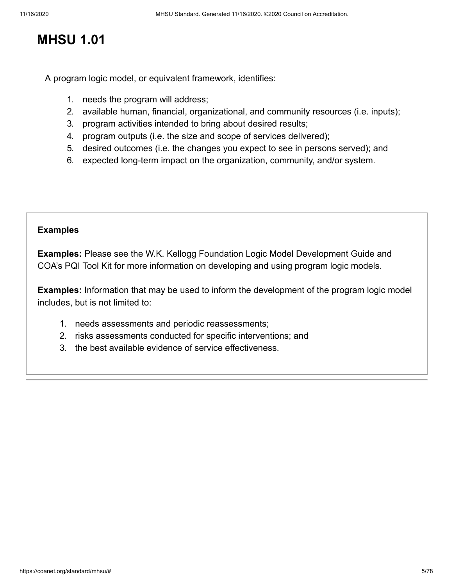# **MHSU 1.01**

A program logic model, or equivalent framework, identifies:

- 1. needs the program will address;
- 2. available human, financial, organizational, and community resources (i.e. inputs);
- 3. program activities intended to bring about desired results;
- 4. program outputs (i.e. the size and scope of services delivered);
- 5. desired outcomes (i.e. the changes you expect to see in persons served); and
- 6. expected long-term impact on the organization, community, and/or system.

#### **[Examples](#page-4-0)**

<span id="page-4-0"></span>**Examples:** Please see the W.K. Kellogg Foundation Logic Model Development Guide and COA's PQI Tool Kit for more information on developing and using program logic models.

**Examples:** Information that may be used to inform the development of the program logic model includes, but is not limited to:

- 1. needs assessments and periodic reassessments;
- 2. risks assessments conducted for specific interventions; and
- 3. the best available evidence of service effectiveness.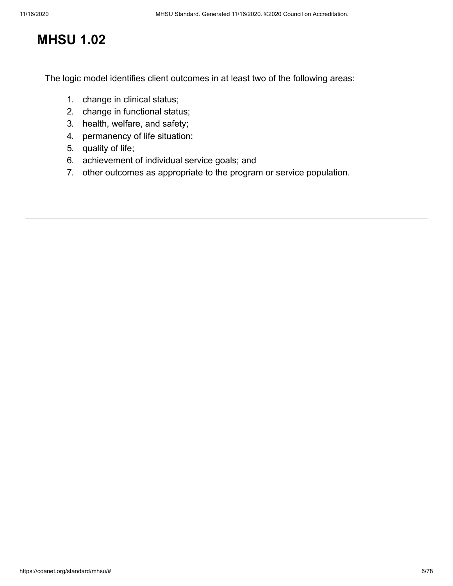# **MHSU 1.02**

The logic model identifies client outcomes in at least two of the following areas:

- 1. change in clinical status;
- 2. change in functional status;
- 3. health, welfare, and safety;
- 4. permanency of life situation;
- 5. quality of life;
- 6. achievement of individual service goals; and
- 7. other outcomes as appropriate to the program or service population.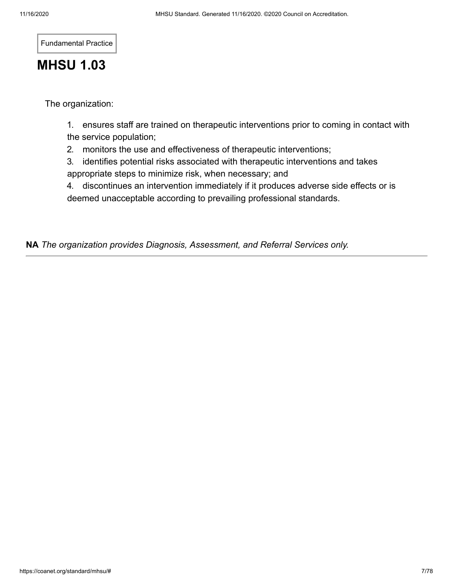Fundamental Practice

# **MHSU 1.03**

The organization:

1. ensures staff are trained on therapeutic interventions prior to coming in contact with the service population;

2. monitors the use and effectiveness of therapeutic interventions;

3. identifies potential risks associated with therapeutic interventions and takes appropriate steps to minimize risk, when necessary; and

4. discontinues an intervention immediately if it produces adverse side effects or is deemed unacceptable according to prevailing professional standards.

**NA** *The organization provides Diagnosis, Assessment, and Referral Services only.*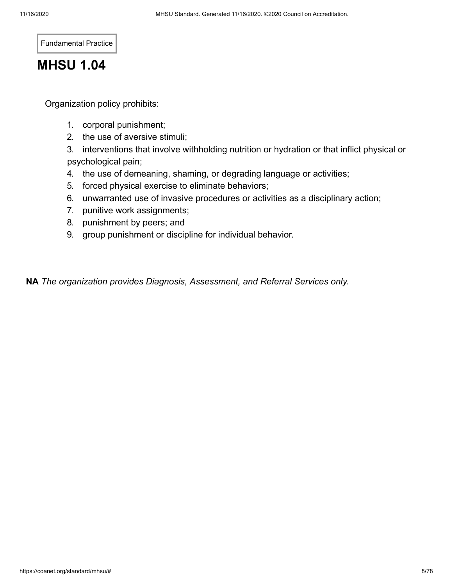Fundamental Practice

# **MHSU 1.04**

Organization policy prohibits:

- 1. corporal punishment;
- 2. the use of aversive stimuli;

3. interventions that involve withholding nutrition or hydration or that inflict physical or psychological pain;

- 4. the use of demeaning, shaming, or degrading language or activities;
- 5. forced physical exercise to eliminate behaviors;
- 6. unwarranted use of invasive procedures or activities as a disciplinary action;
- 7. punitive work assignments;
- 8. punishment by peers; and
- 9. group punishment or discipline for individual behavior.

**NA** *The organization provides Diagnosis, Assessment, and Referral Services only.*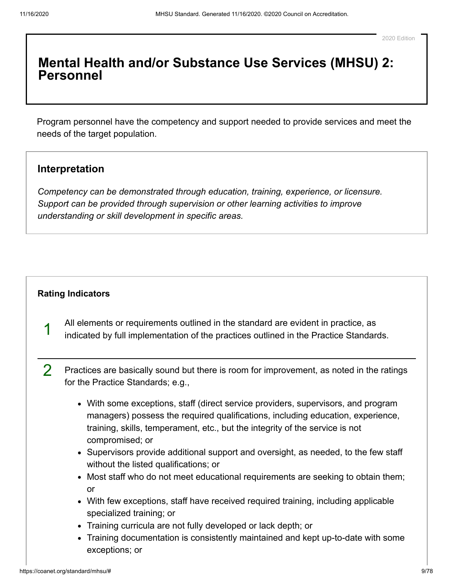## **Mental Health and/or Substance Use Services (MHSU) 2: Personnel**

Program personnel have the competency and support needed to provide services and meet the needs of the target population.

### **Interpretation**

*Competency can be demonstrated through education, training, experience, or licensure. Support can be provided through supervision or other learning activities to improve understanding or skill development in specific areas.*

#### **[Rating Indicators](#page-8-0)**

- <span id="page-8-0"></span>1 All elements or requirements outlined in the standard are evident in practice, as indicated by full implementation of the practices outlined in the Practice Standards.
- 2 Practices are basically sound but there is room for improvement, as noted in the ratings for the Practice Standards; e.g.,
	- With some exceptions, staff (direct service providers, supervisors, and program managers) possess the required qualifications, including education, experience, training, skills, temperament, etc., but the integrity of the service is not compromised; or
	- Supervisors provide additional support and oversight, as needed, to the few staff without the listed qualifications; or
	- Most staff who do not meet educational requirements are seeking to obtain them; or
	- With few exceptions, staff have received required training, including applicable specialized training; or
	- Training curricula are not fully developed or lack depth; or
	- Training documentation is consistently maintained and kept up-to-date with some exceptions; or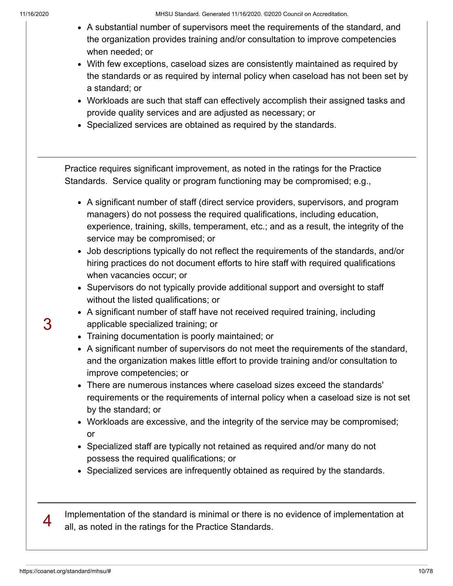- A substantial number of supervisors meet the requirements of the standard, and the organization provides training and/or consultation to improve competencies when needed; or
- With few exceptions, caseload sizes are consistently maintained as required by the standards or as required by internal policy when caseload has not been set by a standard; or
- Workloads are such that staff can effectively accomplish their assigned tasks and provide quality services and are adjusted as necessary; or
- Specialized services are obtained as required by the standards.

Practice requires significant improvement, as noted in the ratings for the Practice Standards. Service quality or program functioning may be compromised; e.g.,

- A significant number of staff (direct service providers, supervisors, and program managers) do not possess the required qualifications, including education, experience, training, skills, temperament, etc.; and as a result, the integrity of the service may be compromised; or
- Job descriptions typically do not reflect the requirements of the standards, and/or hiring practices do not document efforts to hire staff with required qualifications when vacancies occur; or
- Supervisors do not typically provide additional support and oversight to staff without the listed qualifications; or
- A significant number of staff have not received required training, including applicable specialized training; or
- Training documentation is poorly maintained; or
- A significant number of supervisors do not meet the requirements of the standard, and the organization makes little effort to provide training and/or consultation to improve competencies; or
- There are numerous instances where caseload sizes exceed the standards' requirements or the requirements of internal policy when a caseload size is not set by the standard; or
- Workloads are excessive, and the integrity of the service may be compromised; or
- Specialized staff are typically not retained as required and/or many do not possess the required qualifications; or
- Specialized services are infrequently obtained as required by the standards.

Implementation of the standard is minimal or there is no evidence of implementation at all, as noted in the ratings for the Practice Standards.

4

3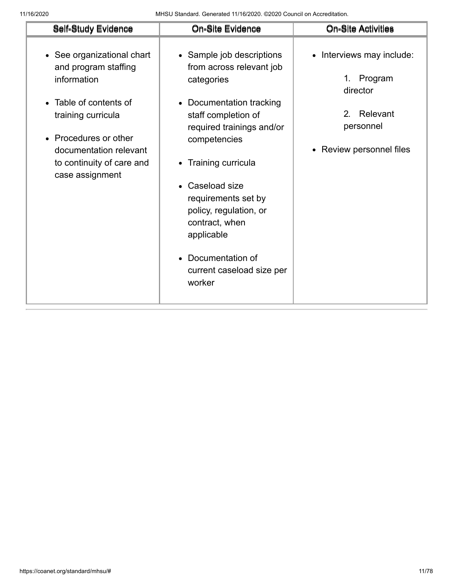11/16/2020 MHSU Standard. Generated 11/16/2020. ©2020 Council on Accreditation.

| Self-Study Evidence                                                                                                                                                                                                  | On-Site Evidence                                                                                                                                                                                                                                                                                                                                                                 | <b>On-Site Activities</b>                                                                                         |
|----------------------------------------------------------------------------------------------------------------------------------------------------------------------------------------------------------------------|----------------------------------------------------------------------------------------------------------------------------------------------------------------------------------------------------------------------------------------------------------------------------------------------------------------------------------------------------------------------------------|-------------------------------------------------------------------------------------------------------------------|
| • See organizational chart<br>and program staffing<br>information<br>• Table of contents of<br>training curricula<br>• Procedures or other<br>documentation relevant<br>to continuity of care and<br>case assignment | • Sample job descriptions<br>from across relevant job<br>categories<br>Documentation tracking<br>$\bullet$<br>staff completion of<br>required trainings and/or<br>competencies<br>Training curricula<br>$\bullet$<br>Caseload size<br>requirements set by<br>policy, regulation, or<br>contract, when<br>applicable<br>• Documentation of<br>current caseload size per<br>worker | • Interviews may include:<br>Program<br>1.<br>director<br>Relevant<br>2.<br>personnel<br>• Review personnel files |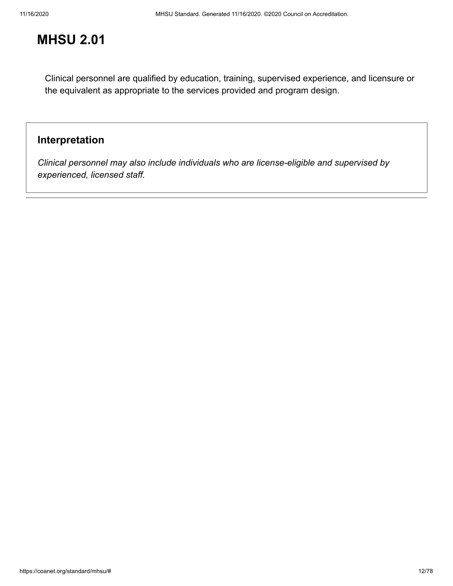Clinical personnel are qualified by education, training, supervised experience, and licensure or the equivalent as appropriate to the services provided and program design.

## **Interpretation**

*Clinical personnel may also include individuals who are license-eligible and supervised by experienced, licensed staff.*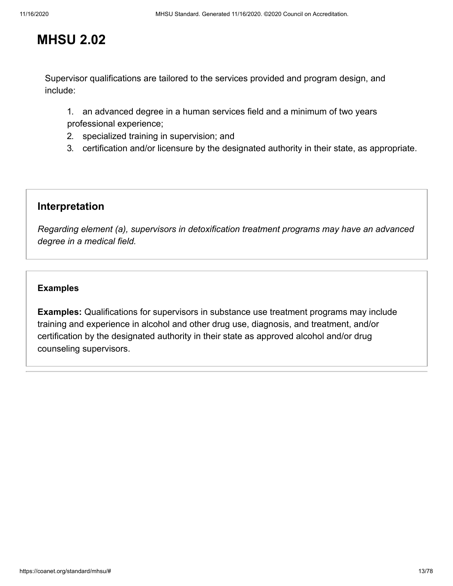Supervisor qualifications are tailored to the services provided and program design, and include:

1. an advanced degree in a human services field and a minimum of two years professional experience;

- 2. specialized training in supervision; and
- 3. certification and/or licensure by the designated authority in their state, as appropriate.

### **Interpretation**

*Regarding element (a), supervisors in detoxification treatment programs may have an advanced degree in a medical field.*

#### **[Examples](#page-12-0)**

<span id="page-12-0"></span>**Examples:** Qualifications for supervisors in substance use treatment programs may include training and experience in alcohol and other drug use, diagnosis, and treatment, and/or certification by the designated authority in their state as approved alcohol and/or drug counseling supervisors.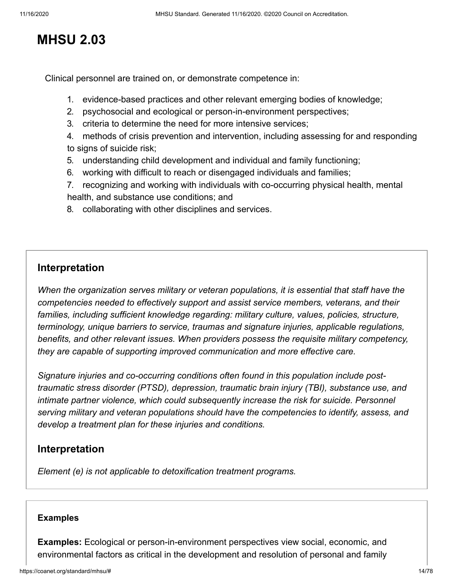Clinical personnel are trained on, or demonstrate competence in:

- 1. evidence-based practices and other relevant emerging bodies of knowledge;
- 2. psychosocial and ecological or person-in-environment perspectives;
- 3. criteria to determine the need for more intensive services;
- 4. methods of crisis prevention and intervention, including assessing for and responding to signs of suicide risk;
- 5. understanding child development and individual and family functioning;
- 6. working with difficult to reach or disengaged individuals and families;
- 7. recognizing and working with individuals with co-occurring physical health, mental health, and substance use conditions; and
- 8. collaborating with other disciplines and services.

## **Interpretation**

*When the organization serves military or veteran populations, it is essential that staff have the competencies needed to effectively support and assist service members, veterans, and their families, including sufficient knowledge regarding: military culture, values, policies, structure, terminology, unique barriers to service, traumas and signature injuries, applicable regulations, benefits, and other relevant issues. When providers possess the requisite military competency, they are capable of supporting improved communication and more effective care.* 

*Signature injuries and co-occurring conditions often found in this population include posttraumatic stress disorder (PTSD), depression, traumatic brain injury (TBI), substance use, and intimate partner violence, which could subsequently increase the risk for suicide. Personnel serving military and veteran populations should have the competencies to identify, assess, and develop a treatment plan for these injuries and conditions.*

## **Interpretation**

*Element (e) is not applicable to detoxification treatment programs.*

#### **[Examples](#page-13-0)**

<span id="page-13-0"></span>**Examples:** Ecological or person-in-environment perspectives view social, economic, and environmental factors as critical in the development and resolution of personal and family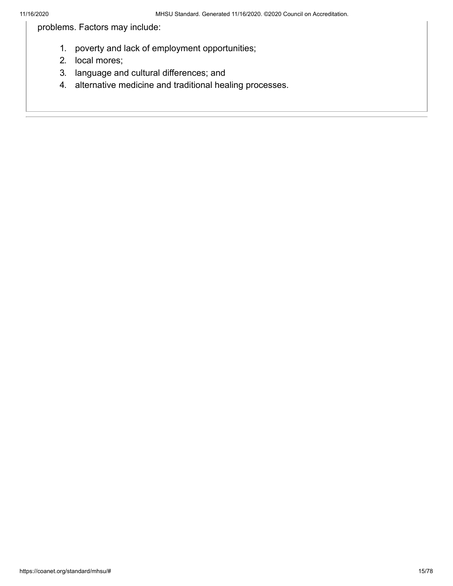problems. Factors may include:

- 1. poverty and lack of employment opportunities;
- 2. local mores;
- 3. language and cultural differences; and
- 4. alternative medicine and traditional healing processes.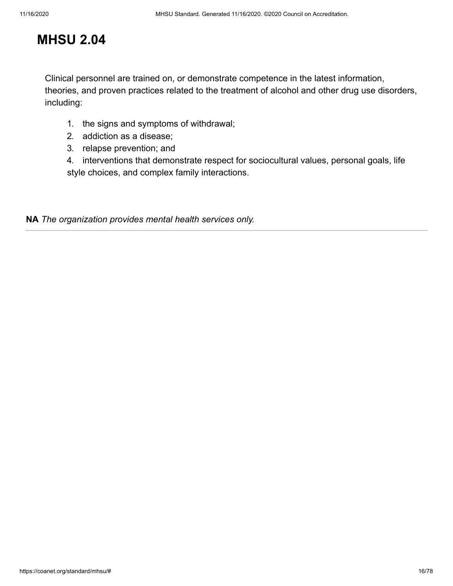Clinical personnel are trained on, or demonstrate competence in the latest information, theories, and proven practices related to the treatment of alcohol and other drug use disorders, including:

- 1. the signs and symptoms of withdrawal;
- 2. addiction as a disease;
- 3. relapse prevention; and

4. interventions that demonstrate respect for sociocultural values, personal goals, life style choices, and complex family interactions.

**NA** *The organization provides mental health services only.*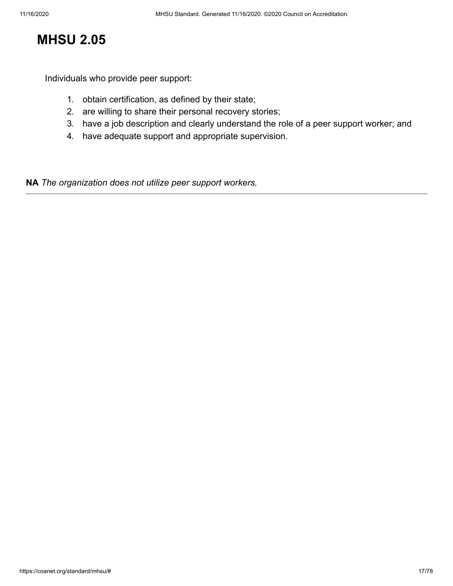Individuals who provide peer support:

- 1. obtain certification, as defined by their state;
- 2. are willing to share their personal recovery stories;
- 3. have a job description and clearly understand the role of a peer support worker; and
- 4. have adequate support and appropriate supervision.

**NA** *The organization does not utilize peer support workers.*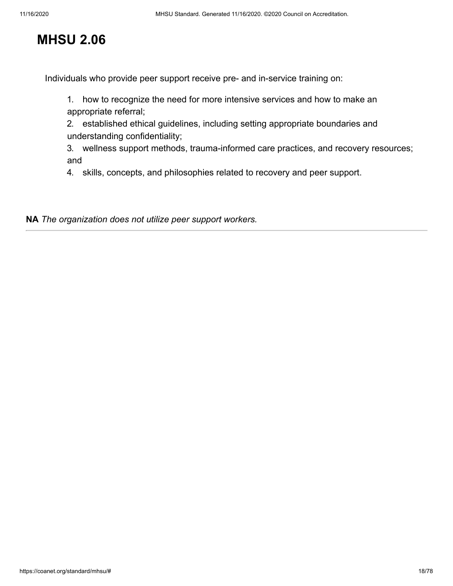Individuals who provide peer support receive pre- and in-service training on:

1. how to recognize the need for more intensive services and how to make an appropriate referral;

2. established ethical guidelines, including setting appropriate boundaries and understanding confidentiality;

3. wellness support methods, trauma-informed care practices, and recovery resources; and

4. skills, concepts, and philosophies related to recovery and peer support.

**NA** *The organization does not utilize peer support workers.*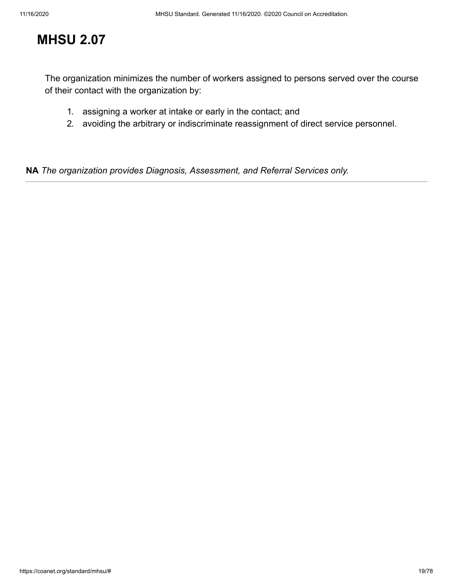The organization minimizes the number of workers assigned to persons served over the course of their contact with the organization by:

- 1. assigning a worker at intake or early in the contact; and
- 2. avoiding the arbitrary or indiscriminate reassignment of direct service personnel.

**NA** *The organization provides Diagnosis, Assessment, and Referral Services only.*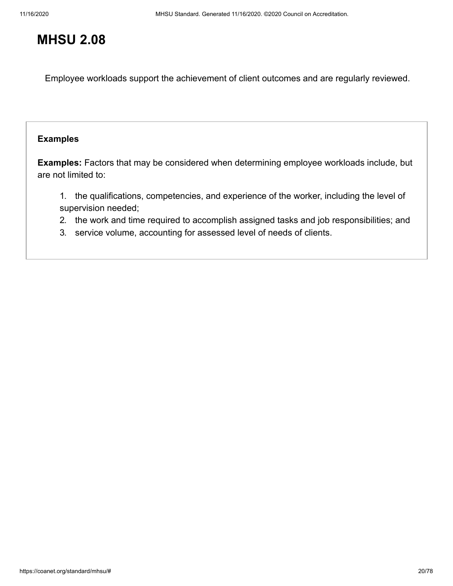Employee workloads support the achievement of client outcomes and are regularly reviewed.

#### **[Examples](#page-19-0)**

<span id="page-19-0"></span>**Examples:** Factors that may be considered when determining employee workloads include, but are not limited to:

1. the qualifications, competencies, and experience of the worker, including the level of supervision needed;

- 2. the work and time required to accomplish assigned tasks and job responsibilities; and
- 3. service volume, accounting for assessed level of needs of clients.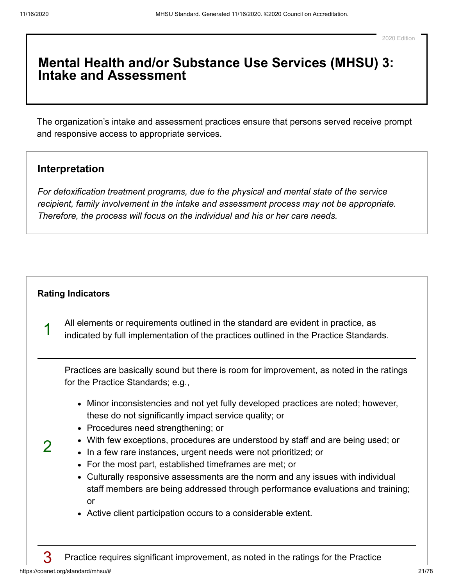## **Mental Health and/or Substance Use Services (MHSU) 3: Intake and Assessment**

The organization's intake and assessment practices ensure that persons served receive prompt and responsive access to appropriate services.

### **Interpretation**

*For detoxification treatment programs, due to the physical and mental state of the service recipient, family involvement in the intake and assessment process may not be appropriate. Therefore, the process will focus on the individual and his or her care needs.*

#### **[Rating Indicators](#page-20-0)**

All elements or requirements outlined in the standard are evident in practice, as indicated by full implementation of the practices outlined in the Practice Standards.

Practices are basically sound but there is room for improvement, as noted in the ratings for the Practice Standards; e.g.,

- Minor inconsistencies and not yet fully developed practices are noted; however, these do not significantly impact service quality; or
- Procedures need strengthening; or
- With few exceptions, procedures are understood by staff and are being used; or
- In a few rare instances, urgent needs were not prioritized; or
- For the most part, established timeframes are met; or
- Culturally responsive assessments are the norm and any issues with individual staff members are being addressed through performance evaluations and training; or
- Active client participation occurs to a considerable extent.

<span id="page-20-0"></span>1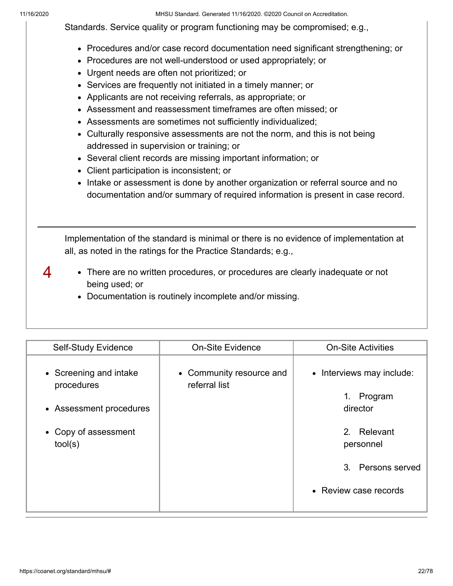4

11/16/2020 MHSU Standard. Generated 11/16/2020. ©2020 Council on Accreditation.

Standards. Service quality or program functioning may be compromised; e.g.,

- Procedures and/or case record documentation need significant strengthening; or
- Procedures are not well-understood or used appropriately; or
- Urgent needs are often not prioritized; or
- Services are frequently not initiated in a timely manner; or
- Applicants are not receiving referrals, as appropriate; or
- Assessment and reassessment timeframes are often missed; or
- Assessments are sometimes not sufficiently individualized;
- Culturally responsive assessments are not the norm, and this is not being addressed in supervision or training; or
- Several client records are missing important information; or
- Client participation is inconsistent; or
- Intake or assessment is done by another organization or referral source and no documentation and/or summary of required information is present in case record.

Implementation of the standard is minimal or there is no evidence of implementation at all, as noted in the ratings for the Practice Standards; e.g.,

- There are no written procedures, or procedures are clearly inadequate or not being used; or
	- Documentation is routinely incomplete and/or missing.

| <b>Self-Study Evidence</b>                                                                         | <b>On-Site Evidence</b>                   | <b>On-Site Activities</b>                                                                                                        |
|----------------------------------------------------------------------------------------------------|-------------------------------------------|----------------------------------------------------------------------------------------------------------------------------------|
| • Screening and intake<br>procedures<br>• Assessment procedures<br>• Copy of assessment<br>tool(s) | • Community resource and<br>referral list | • Interviews may include:<br>Program<br>1.<br>director<br>2. Relevant<br>personnel<br>3. Persons served<br>• Review case records |
|                                                                                                    |                                           |                                                                                                                                  |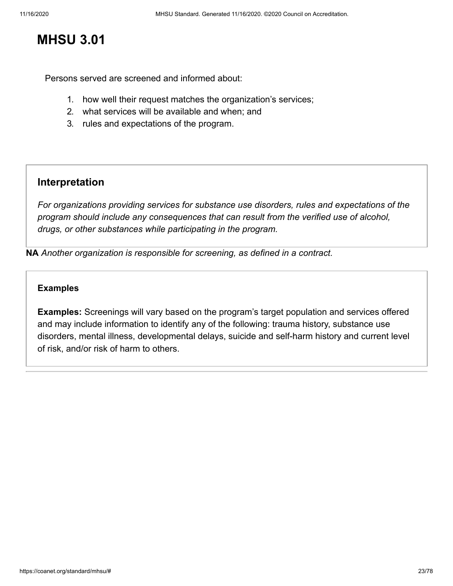# **MHSU 3.01**

Persons served are screened and informed about:

- 1. how well their request matches the organization's services;
- 2. what services will be available and when; and
- 3. rules and expectations of the program.

## **Interpretation**

*For organizations providing services for substance use disorders, rules and expectations of the program should include any consequences that can result from the verified use of alcohol, drugs, or other substances while participating in the program.*

**NA** *Another organization is responsible for screening, as defined in a contract.*

#### **[Examples](#page-22-0)**

<span id="page-22-0"></span>**Examples:** Screenings will vary based on the program's target population and services offered and may include information to identify any of the following: trauma history, substance use disorders, mental illness, developmental delays, suicide and self-harm history and current level of risk, and/or risk of harm to others.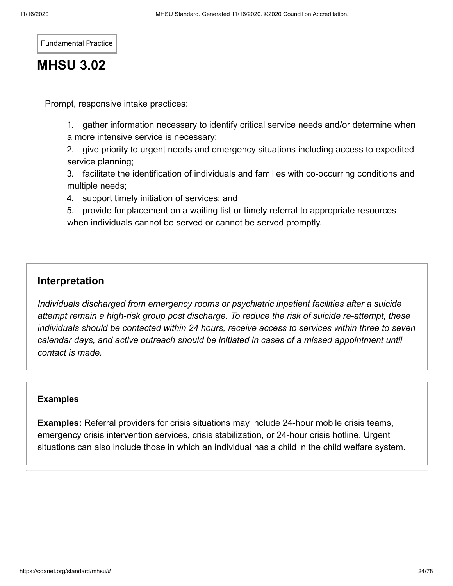Fundamental Practice

# **MHSU 3.02**

Prompt, responsive intake practices:

1. gather information necessary to identify critical service needs and/or determine when a more intensive service is necessary;

2. give priority to urgent needs and emergency situations including access to expedited service planning;

3. facilitate the identification of individuals and families with co-occurring conditions and multiple needs;

4. support timely initiation of services; and

5. provide for placement on a waiting list or timely referral to appropriate resources when individuals cannot be served or cannot be served promptly.

## **Interpretation**

*Individuals discharged from emergency rooms or psychiatric inpatient facilities after a suicide attempt remain a high-risk group post discharge. To reduce the risk of suicide re-attempt, these individuals should be contacted within 24 hours, receive access to services within three to seven calendar days, and active outreach should be initiated in cases of a missed appointment until contact is made.*

#### **[Examples](#page-23-0)**

<span id="page-23-0"></span>**Examples:** Referral providers for crisis situations may include 24-hour mobile crisis teams, emergency crisis intervention services, crisis stabilization, or 24-hour crisis hotline. Urgent situations can also include those in which an individual has a child in the child welfare system.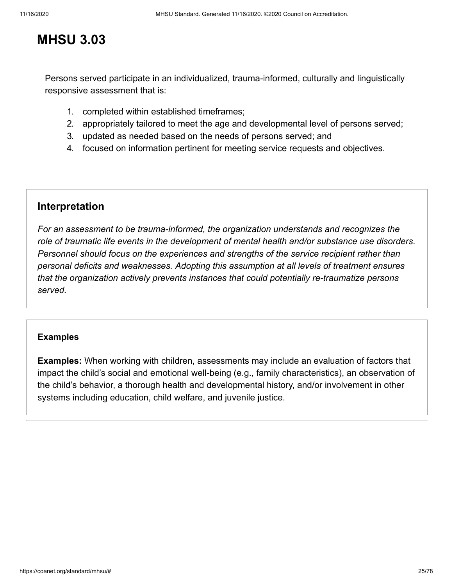## **MHSU 3.03**

Persons served participate in an individualized, trauma-informed, culturally and linguistically responsive assessment that is:

- 1. completed within established timeframes;
- 2. appropriately tailored to meet the age and developmental level of persons served;
- 3. updated as needed based on the needs of persons served; and
- 4. focused on information pertinent for meeting service requests and objectives.

### **Interpretation**

*For an assessment to be trauma-informed, the organization understands and recognizes the role of traumatic life events in the development of mental health and/or substance use disorders. Personnel should focus on the experiences and strengths of the service recipient rather than personal deficits and weaknesses. Adopting this assumption at all levels of treatment ensures that the organization actively prevents instances that could potentially re-traumatize persons served.*

#### **[Examples](#page-24-0)**

<span id="page-24-0"></span>**Examples:** When working with children, assessments may include an evaluation of factors that impact the child's social and emotional well-being (e.g., family characteristics), an observation of the child's behavior, a thorough health and developmental history, and/or involvement in other systems including education, child welfare, and juvenile justice.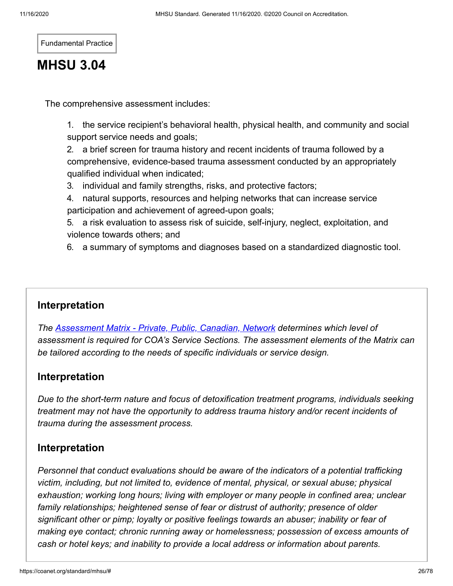Fundamental Practice

# **MHSU 3.04**

The comprehensive assessment includes:

1. the service recipient's behavioral health, physical health, and community and social support service needs and goals;

2. a brief screen for trauma history and recent incidents of trauma followed by a comprehensive, evidence-based trauma assessment conducted by an appropriately qualified individual when indicated;

- 3. individual and family strengths, risks, and protective factors;
- 4. natural supports, resources and helping networks that can increase service participation and achievement of agreed-upon goals;

5. a risk evaluation to assess risk of suicide, self-injury, neglect, exploitation, and violence towards others; and

6. a summary of symptoms and diagnoses based on a standardized diagnostic tool.

## **Interpretation**

*The [Assessment Matrix - Private, Public, Canadian, Network](https://coa.my.salesforce.com/sfc/p/300000000aAU/a/380000004yvI/WykKRoDmMsDQ_1K6sPlu.QInRhHpAAH.GNhoHPeExZg) determines which level of assessment is required for COA's Service Sections. The assessment elements of the Matrix can be tailored according to the needs of specific individuals or service design.*

## **Interpretation**

*Due to the short-term nature and focus of detoxification treatment programs, individuals seeking treatment may not have the opportunity to address trauma history and/or recent incidents of trauma during the assessment process.* 

## **Interpretation**

*Personnel that conduct evaluations should be aware of the indicators of a potential trafficking victim, including, but not limited to, evidence of mental, physical, or sexual abuse; physical exhaustion; working long hours; living with employer or many people in confined area; unclear family relationships; heightened sense of fear or distrust of authority; presence of older significant other or pimp; loyalty or positive feelings towards an abuser; inability or fear of making eye contact; chronic running away or homelessness; possession of excess amounts of cash or hotel keys; and inability to provide a local address or information about parents.*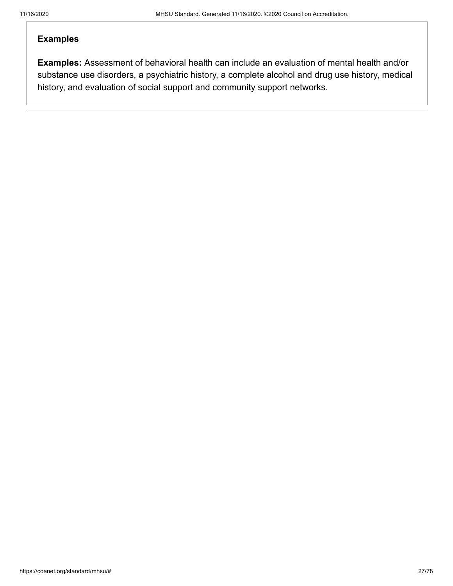#### **[Examples](#page-26-0)**

<span id="page-26-0"></span>**Examples:** Assessment of behavioral health can include an evaluation of mental health and/or substance use disorders, a psychiatric history, a complete alcohol and drug use history, medical history, and evaluation of social support and community support networks.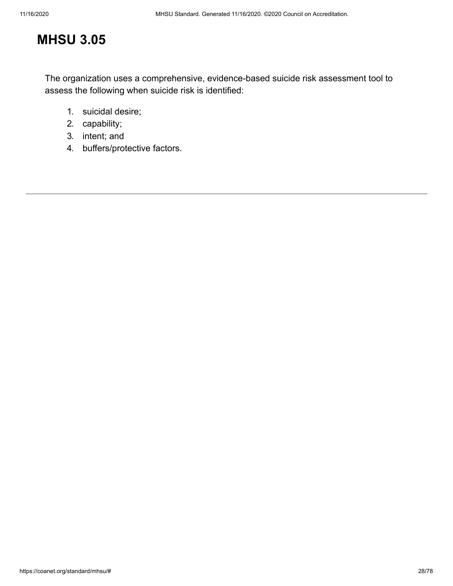# **MHSU 3.05**

The organization uses a comprehensive, evidence-based suicide risk assessment tool to assess the following when suicide risk is identified:

- 1. suicidal desire;
- 2. capability;
- 3. intent; and
- 4. buffers/protective factors.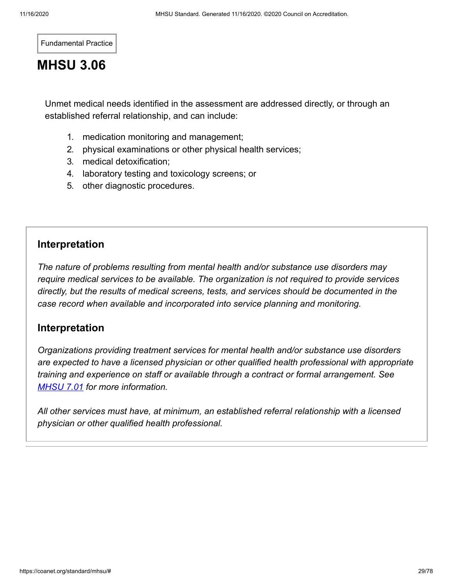Fundamental Practice

# **MHSU 3.06**

Unmet medical needs identified in the assessment are addressed directly, or through an established referral relationship, and can include:

- 1. medication monitoring and management;
- 2. physical examinations or other physical health services;
- 3. medical detoxification;
- 4. laboratory testing and toxicology screens; or
- 5. other diagnostic procedures.

## **Interpretation**

*The nature of problems resulting from mental health and/or substance use disorders may require medical services to be available. The organization is not required to provide services directly, but the results of medical screens, tests, and services should be documented in the case record when available and incorporated into service planning and monitoring.*

## **Interpretation**

*Organizations providing treatment services for mental health and/or substance use disorders are expected to have a licensed physician or other qualified health professional with appropriate training and experience on staff or available through a contract or formal arrangement. See [MHSU 7.01](https://coanet.org/standard/mhsu/7/01) for more information.*

*All other services must have, at minimum, an established referral relationship with a licensed physician or other qualified health professional.*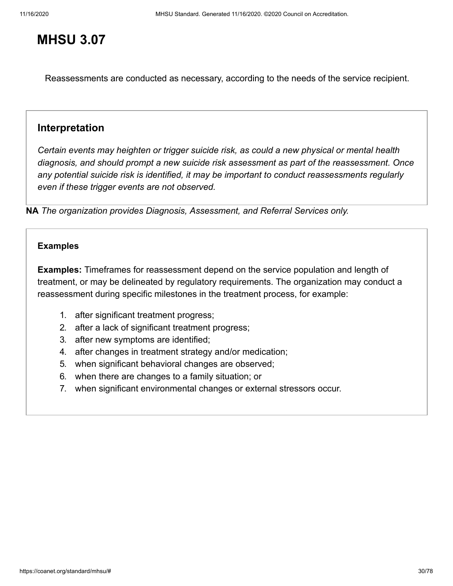## **MHSU 3.07**

Reassessments are conducted as necessary, according to the needs of the service recipient.

### **Interpretation**

*Certain events may heighten or trigger suicide risk, as could a new physical or mental health diagnosis, and should prompt a new suicide risk assessment as part of the reassessment. Once any potential suicide risk is identified, it may be important to conduct reassessments regularly even if these trigger events are not observed.*

**NA** *The organization provides Diagnosis, Assessment, and Referral Services only.*

#### **[Examples](#page-29-0)**

<span id="page-29-0"></span>**Examples:** Timeframes for reassessment depend on the service population and length of treatment, or may be delineated by regulatory requirements. The organization may conduct a reassessment during specific milestones in the treatment process, for example:

- 1. after significant treatment progress;
- 2. after a lack of significant treatment progress;
- 3. after new symptoms are identified;
- 4. after changes in treatment strategy and/or medication;
- 5. when significant behavioral changes are observed;
- 6. when there are changes to a family situation; or
- 7. when significant environmental changes or external stressors occur.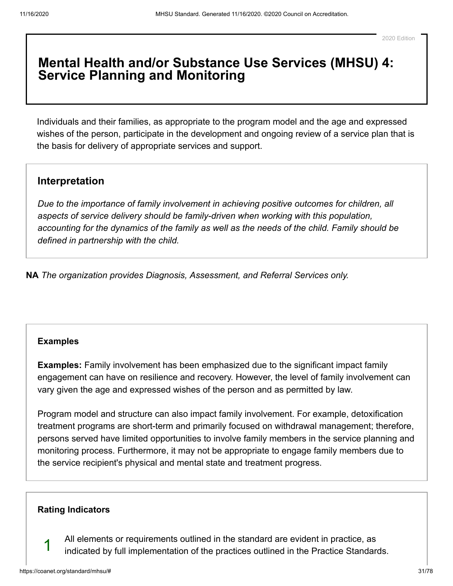## **Mental Health and/or Substance Use Services (MHSU) 4: Service Planning and Monitoring**

Individuals and their families, as appropriate to the program model and the age and expressed wishes of the person, participate in the development and ongoing review of a service plan that is the basis for delivery of appropriate services and support.

### **Interpretation**

*Due to the importance of family involvement in achieving positive outcomes for children, all aspects of service delivery should be family-driven when working with this population, accounting for the dynamics of the family as well as the needs of the child. Family should be defined in partnership with the child.*

**NA** *The organization provides Diagnosis, Assessment, and Referral Services only.*

#### **[Examples](#page-30-0)**

<span id="page-30-0"></span>**Examples:** Family involvement has been emphasized due to the significant impact family engagement can have on resilience and recovery. However, the level of family involvement can vary given the age and expressed wishes of the person and as permitted by law.

Program model and structure can also impact family involvement. For example, detoxification treatment programs are short-term and primarily focused on withdrawal management; therefore, persons served have limited opportunities to involve family members in the service planning and monitoring process. Furthermore, it may not be appropriate to engage family members due to the service recipient's physical and mental state and treatment progress.

#### **[Rating Indicators](#page-30-1)**

All elements or requirements outlined in the standard are evident in practice, as indicated by full implementation of the practices outlined in the Practice Standards.

<span id="page-30-1"></span>1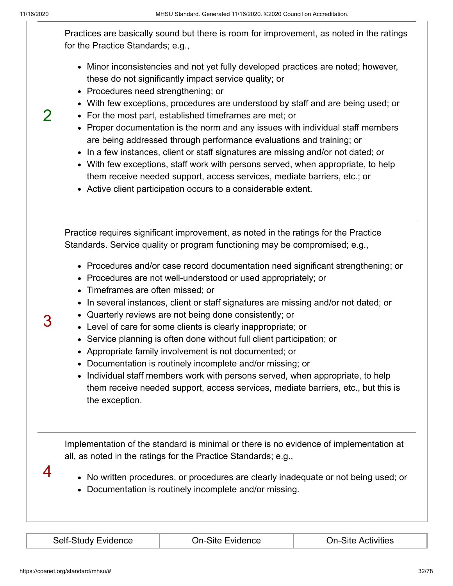$\mathcal{P}$ 

Practices are basically sound but there is room for improvement, as noted in the ratings for the Practice Standards; e.g.,

- Minor inconsistencies and not yet fully developed practices are noted; however, these do not significantly impact service quality; or
- Procedures need strengthening; or
- With few exceptions, procedures are understood by staff and are being used; or
- For the most part, established timeframes are met; or
- Proper documentation is the norm and any issues with individual staff members are being addressed through performance evaluations and training; or
- In a few instances, client or staff signatures are missing and/or not dated; or
- With few exceptions, staff work with persons served, when appropriate, to help them receive needed support, access services, mediate barriers, etc.; or
- Active client participation occurs to a considerable extent.

Practice requires significant improvement, as noted in the ratings for the Practice Standards. Service quality or program functioning may be compromised; e.g.,

- Procedures and/or case record documentation need significant strengthening; or
- Procedures are not well-understood or used appropriately; or
- Timeframes are often missed; or
- In several instances, client or staff signatures are missing and/or not dated; or
- Quarterly reviews are not being done consistently; or
- Level of care for some clients is clearly inappropriate; or
- Service planning is often done without full client participation; or
- Appropriate family involvement is not documented; or
- Documentation is routinely incomplete and/or missing; or
- Individual staff members work with persons served, when appropriate, to help them receive needed support, access services, mediate barriers, etc., but this is the exception.

Implementation of the standard is minimal or there is no evidence of implementation at all, as noted in the ratings for the Practice Standards; e.g.,

4

3

- No written procedures, or procedures are clearly inadequate or not being used; or
- Documentation is routinely incomplete and/or missing.

| <b>Self-Study Evidence</b> |  |
|----------------------------|--|
|----------------------------|--|

On-Site Evidence **On-Site Activities**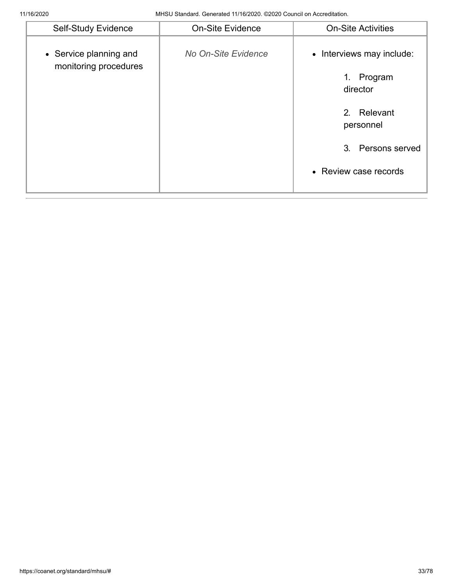| <b>Self-Study Evidence</b>                      | <b>On-Site Evidence</b> | <b>On-Site Activities</b>                                                                                                        |
|-------------------------------------------------|-------------------------|----------------------------------------------------------------------------------------------------------------------------------|
| • Service planning and<br>monitoring procedures | No On-Site Evidence     | • Interviews may include:<br>Program<br>1.<br>director<br>2. Relevant<br>personnel<br>3. Persons served<br>• Review case records |
|                                                 |                         |                                                                                                                                  |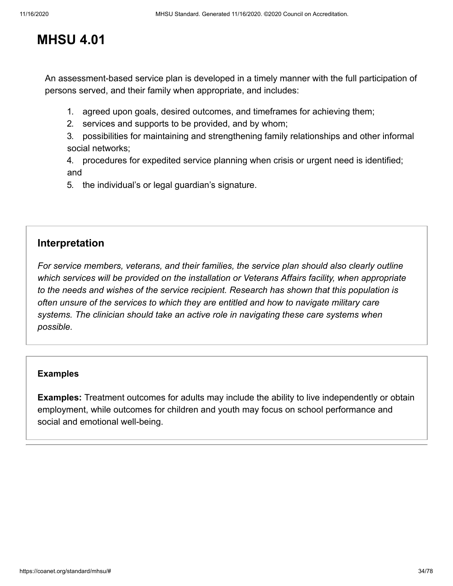# **MHSU 4.01**

An assessment-based service plan is developed in a timely manner with the full participation of persons served, and their family when appropriate, and includes:

- 1. agreed upon goals, desired outcomes, and timeframes for achieving them;
- 2. services and supports to be provided, and by whom;
- 3. possibilities for maintaining and strengthening family relationships and other informal social networks;

4. procedures for expedited service planning when crisis or urgent need is identified; and

5. the individual's or legal guardian's signature.

## **Interpretation**

*For service members, veterans, and their families, the service plan should also clearly outline which services will be provided on the installation or Veterans Affairs facility, when appropriate to the needs and wishes of the service recipient. Research has shown that this population is often unsure of the services to which they are entitled and how to navigate military care systems. The clinician should take an active role in navigating these care systems when possible.*

#### **[Examples](#page-33-0)**

<span id="page-33-0"></span>**Examples:** Treatment outcomes for adults may include the ability to live independently or obtain employment, while outcomes for children and youth may focus on school performance and social and emotional well-being.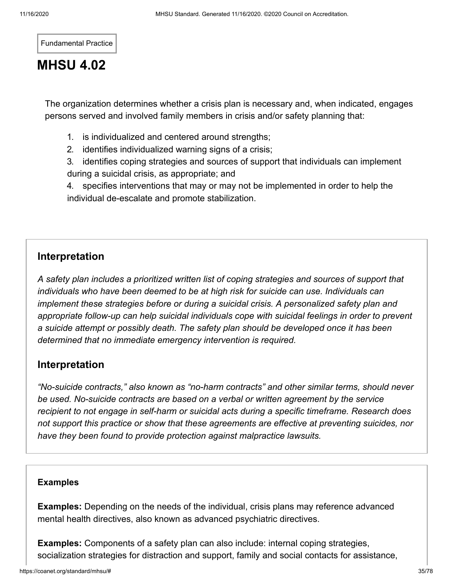Fundamental Practice

# **MHSU 4.02**

The organization determines whether a crisis plan is necessary and, when indicated, engages persons served and involved family members in crisis and/or safety planning that:

- 1. is individualized and centered around strengths;
- 2. identifies individualized warning signs of a crisis;

3. identifies coping strategies and sources of support that individuals can implement during a suicidal crisis, as appropriate; and

4. specifies interventions that may or may not be implemented in order to help the individual de-escalate and promote stabilization.

## **Interpretation**

*A safety plan includes a prioritized written list of coping strategies and sources of support that individuals who have been deemed to be at high risk for suicide can use. Individuals can implement these strategies before or during a suicidal crisis. A personalized safety plan and appropriate follow-up can help suicidal individuals cope with suicidal feelings in order to prevent a suicide attempt or possibly death. The safety plan should be developed once it has been determined that no immediate emergency intervention is required.* 

## **Interpretation**

*"No-suicide contracts," also known as "no-harm contracts" and other similar terms, should never be used. No-suicide contracts are based on a verbal or written agreement by the service recipient to not engage in self-harm or suicidal acts during a specific timeframe. Research does not support this practice or show that these agreements are effective at preventing suicides, nor have they been found to provide protection against malpractice lawsuits.*

#### **[Examples](#page-34-0)**

<span id="page-34-0"></span>**Examples:** Depending on the needs of the individual, crisis plans may reference advanced mental health directives, also known as advanced psychiatric directives.

**Examples:** Components of a safety plan can also include: internal coping strategies, socialization strategies for distraction and support, family and social contacts for assistance,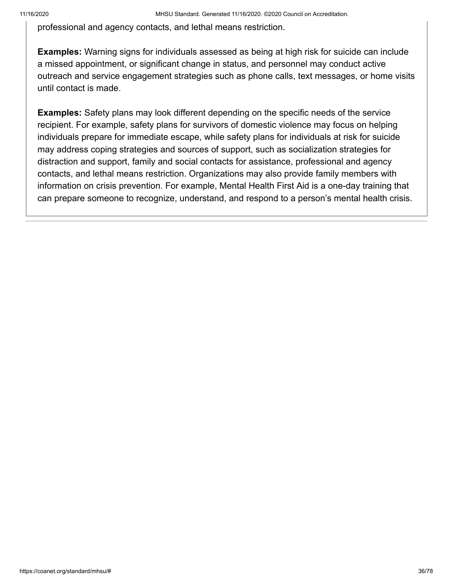professional and agency contacts, and lethal means restriction.

**Examples:** Warning signs for individuals assessed as being at high risk for suicide can include a missed appointment, or significant change in status, and personnel may conduct active outreach and service engagement strategies such as phone calls, text messages, or home visits until contact is made.

**Examples:** Safety plans may look different depending on the specific needs of the service recipient. For example, safety plans for survivors of domestic violence may focus on helping individuals prepare for immediate escape, while safety plans for individuals at risk for suicide may address coping strategies and sources of support, such as socialization strategies for distraction and support, family and social contacts for assistance, professional and agency contacts, and lethal means restriction. Organizations may also provide family members with information on crisis prevention. For example, Mental Health First Aid is a one-day training that can prepare someone to recognize, understand, and respond to a person's mental health crisis.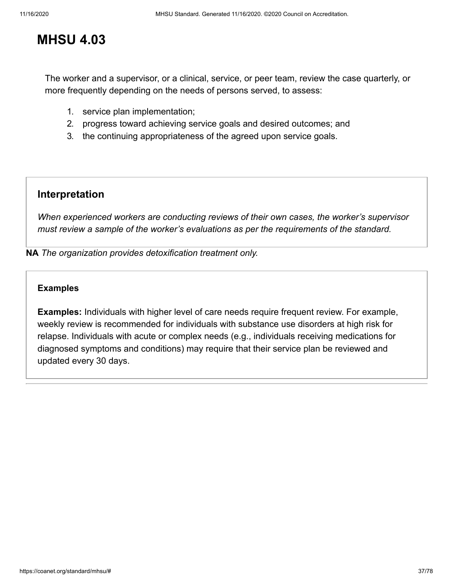## **MHSU 4.03**

The worker and a supervisor, or a clinical, service, or peer team, review the case quarterly, or more frequently depending on the needs of persons served, to assess:

- 1. service plan implementation;
- 2. progress toward achieving service goals and desired outcomes; and
- 3. the continuing appropriateness of the agreed upon service goals.

### **Interpretation**

*When experienced workers are conducting reviews of their own cases, the worker's supervisor must review a sample of the worker's evaluations as per the requirements of the standard.*

**NA** *The organization provides detoxification treatment only.*

### **[Examples](#page-36-0)**

<span id="page-36-0"></span>**Examples:** Individuals with higher level of care needs require frequent review. For example, weekly review is recommended for individuals with substance use disorders at high risk for relapse. Individuals with acute or complex needs (e.g., individuals receiving medications for diagnosed symptoms and conditions) may require that their service plan be reviewed and updated every 30 days.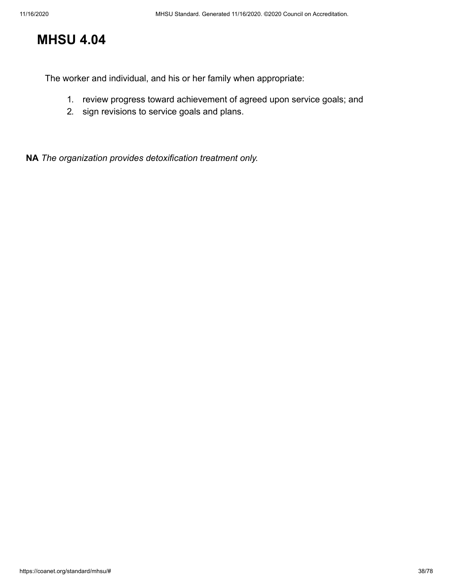# **MHSU 4.04**

The worker and individual, and his or her family when appropriate:

- 1. review progress toward achievement of agreed upon service goals; and
- 2. sign revisions to service goals and plans.

**NA** *The organization provides detoxification treatment only.*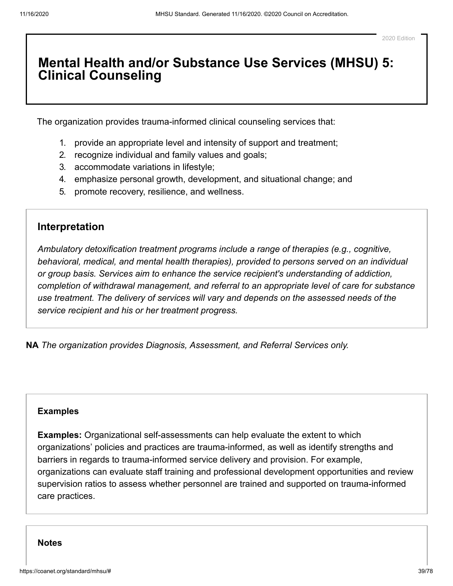2020 Edition

### **Mental Health and/or Substance Use Services (MHSU) 5: Clinical Counseling**

The organization provides trauma-informed clinical counseling services that:

- 1. provide an appropriate level and intensity of support and treatment;
- 2. recognize individual and family values and goals;
- 3. accommodate variations in lifestyle;
- 4. emphasize personal growth, development, and situational change; and
- 5. promote recovery, resilience, and wellness.

### **Interpretation**

*Ambulatory detoxification treatment programs include a range of therapies (e.g., cognitive, behavioral, medical, and mental health therapies), provided to persons served on an individual or group basis. Services aim to enhance the service recipient's understanding of addiction, completion of withdrawal management, and referral to an appropriate level of care for substance use treatment. The delivery of services will vary and depends on the assessed needs of the service recipient and his or her treatment progress.* 

**NA** *The organization provides Diagnosis, Assessment, and Referral Services only.*

### **[Examples](#page-38-0)**

<span id="page-38-0"></span>**Examples:** Organizational self-assessments can help evaluate the extent to which organizations' policies and practices are trauma-informed, as well as identify strengths and barriers in regards to trauma-informed service delivery and provision. For example, organizations can evaluate staff training and professional development opportunities and review supervision ratios to assess whether personnel are trained and supported on trauma-informed care practices.

#### **[Notes](#page-39-0)**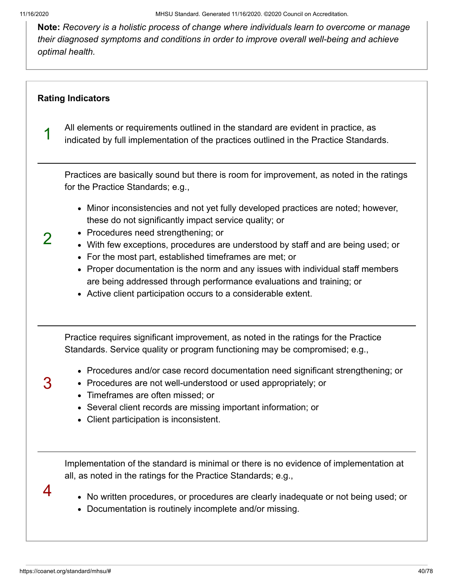11/16/2020 MHSU Standard. Generated 11/16/2020. ©2020 Council on Accreditation.

<span id="page-39-0"></span>**Note:** *Recovery is a holistic process of change where individuals learn to overcome or manage their diagnosed symptoms and conditions in order to improve overall well-being and achieve optimal health.*

### **[Rating Indicators](#page-39-1)**

<span id="page-39-1"></span>1

2

3

4

All elements or requirements outlined in the standard are evident in practice, as indicated by full implementation of the practices outlined in the Practice Standards.

Practices are basically sound but there is room for improvement, as noted in the ratings for the Practice Standards; e.g.,

- Minor inconsistencies and not yet fully developed practices are noted; however, these do not significantly impact service quality; or
- Procedures need strengthening; or
- With few exceptions, procedures are understood by staff and are being used; or
- For the most part, established timeframes are met; or
- Proper documentation is the norm and any issues with individual staff members are being addressed through performance evaluations and training; or
- Active client participation occurs to a considerable extent.

Practice requires significant improvement, as noted in the ratings for the Practice Standards. Service quality or program functioning may be compromised; e.g.,

- Procedures and/or case record documentation need significant strengthening; or
- Procedures are not well-understood or used appropriately; or
- Timeframes are often missed; or
- Several client records are missing important information; or
- Client participation is inconsistent.

Implementation of the standard is minimal or there is no evidence of implementation at all, as noted in the ratings for the Practice Standards; e.g.,

- No written procedures, or procedures are clearly inadequate or not being used; or
- Documentation is routinely incomplete and/or missing.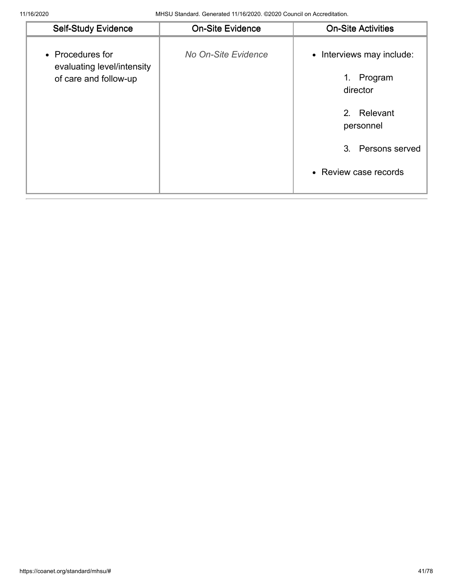| <b>Self-Study Evidence</b>                                              | <b>On-Site Evidence</b> | <b>On-Site Activities</b>                                                                                                                                  |
|-------------------------------------------------------------------------|-------------------------|------------------------------------------------------------------------------------------------------------------------------------------------------------|
| • Procedures for<br>evaluating level/intensity<br>of care and follow-up | No On-Site Evidence     | Interviews may include:<br>$\bullet$<br>Program<br>1.<br>director<br>Relevant<br>2 <sup>1</sup><br>personnel<br>3. Persons served<br>• Review case records |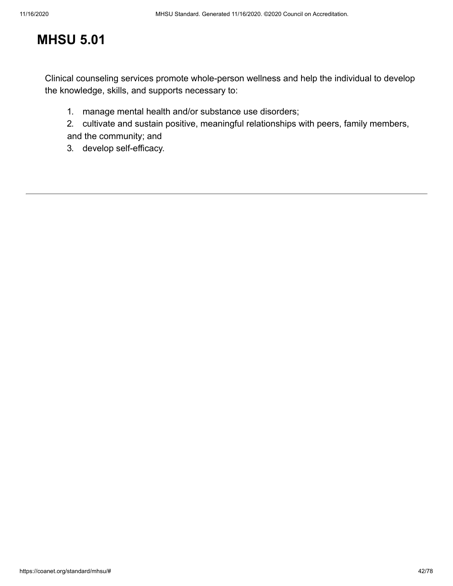# **MHSU 5.01**

Clinical counseling services promote whole-person wellness and help the individual to develop the knowledge, skills, and supports necessary to:

- 1. manage mental health and/or substance use disorders;
- 2. cultivate and sustain positive, meaningful relationships with peers, family members, and the community; and
- 3. develop self-efficacy.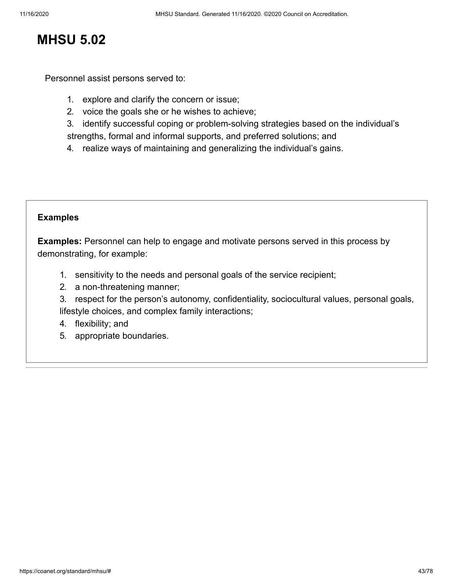### **MHSU 5.02**

Personnel assist persons served to:

- 1. explore and clarify the concern or issue;
- 2. voice the goals she or he wishes to achieve;
- 3. identify successful coping or problem-solving strategies based on the individual's strengths, formal and informal supports, and preferred solutions; and
- 4. realize ways of maintaining and generalizing the individual's gains.

### **[Examples](#page-42-0)**

<span id="page-42-0"></span>**Examples:** Personnel can help to engage and motivate persons served in this process by demonstrating, for example:

- 1. sensitivity to the needs and personal goals of the service recipient;
- 2. a non-threatening manner;
- 3. respect for the person's autonomy, confidentiality, sociocultural values, personal goals, lifestyle choices, and complex family interactions;
- 4. flexibility; and
- 5. appropriate boundaries.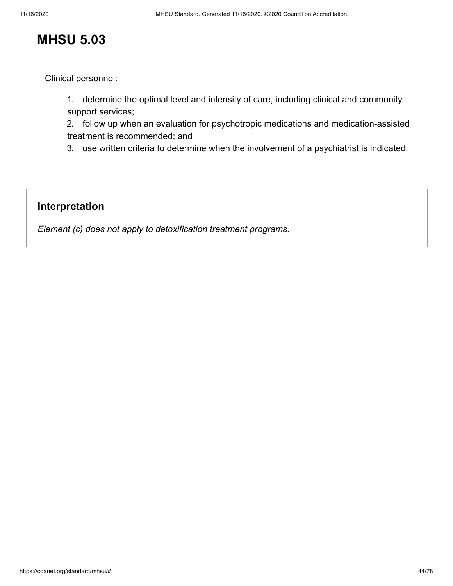## **MHSU 5.03**

Clinical personnel:

1. determine the optimal level and intensity of care, including clinical and community support services;

2. follow up when an evaluation for psychotropic medications and medication-assisted treatment is recommended; and

3. use written criteria to determine when the involvement of a psychiatrist is indicated.

### **Interpretation**

*Element (c) does not apply to detoxification treatment programs.*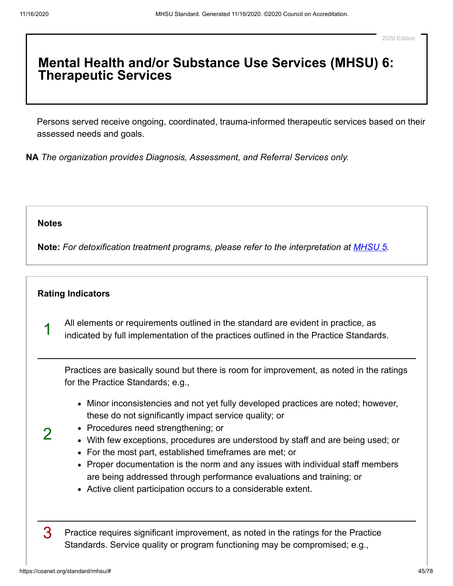### **Mental Health and/or Substance Use Services (MHSU) 6: Therapeutic Services**

Persons served receive ongoing, coordinated, trauma-informed therapeutic services based on their assessed needs and goals.

**NA** *The organization provides Diagnosis, Assessment, and Referral Services only.*

#### **[Notes](#page-44-0)**

<span id="page-44-1"></span>1

2

<span id="page-44-0"></span>**Note:** *For detoxification treatment programs, please refer to the interpretation at [MHSU 5.](https://coanet.org/standard/mhsu/5/)*

### **[Rating Indicators](#page-44-1)**

All elements or requirements outlined in the standard are evident in practice, as indicated by full implementation of the practices outlined in the Practice Standards.

Practices are basically sound but there is room for improvement, as noted in the ratings for the Practice Standards; e.g.,

- Minor inconsistencies and not yet fully developed practices are noted; however, these do not significantly impact service quality; or
- Procedures need strengthening; or
- With few exceptions, procedures are understood by staff and are being used; or
- For the most part, established timeframes are met; or
- Proper documentation is the norm and any issues with individual staff members are being addressed through performance evaluations and training; or
- Active client participation occurs to a considerable extent.

3 Practice requires significant improvement, as noted in the ratings for the Practice Standards. Service quality or program functioning may be compromised; e.g.,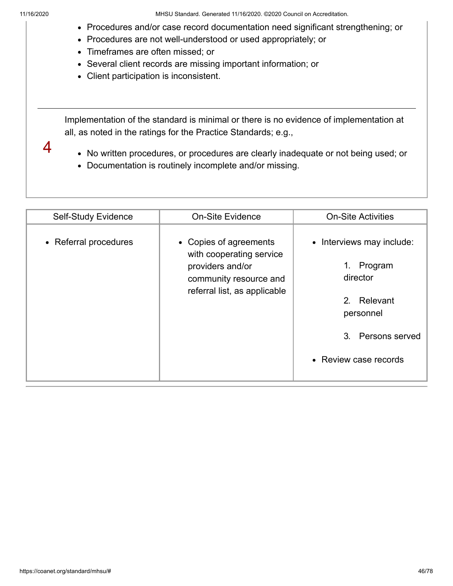4

11/16/2020 MHSU Standard. Generated 11/16/2020. ©2020 Council on Accreditation.

- Procedures and/or case record documentation need significant strengthening; or
- Procedures are not well-understood or used appropriately; or
- Timeframes are often missed; or
- Several client records are missing important information; or
- Client participation is inconsistent.

Implementation of the standard is minimal or there is no evidence of implementation at all, as noted in the ratings for the Practice Standards; e.g.,

- No written procedures, or procedures are clearly inadequate or not being used; or
- Documentation is routinely incomplete and/or missing.

| Self-Study Evidence   | <b>On-Site Evidence</b>                                                                                                          | <b>On-Site Activities</b>                                                                                                                           |
|-----------------------|----------------------------------------------------------------------------------------------------------------------------------|-----------------------------------------------------------------------------------------------------------------------------------------------------|
| • Referral procedures | • Copies of agreements<br>with cooperating service<br>providers and/or<br>community resource and<br>referral list, as applicable | • Interviews may include:<br>1. Program<br>director<br>2. Relevant<br>personnel<br>3 <sub>1</sub><br><b>Persons served</b><br>• Review case records |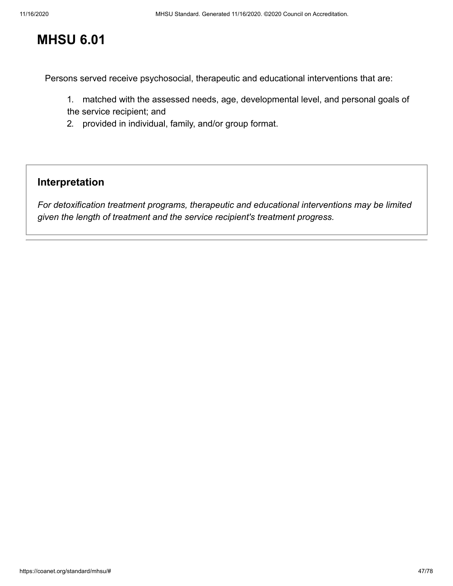# **MHSU 6.01**

Persons served receive psychosocial, therapeutic and educational interventions that are:

- 1. matched with the assessed needs, age, developmental level, and personal goals of the service recipient; and
- 2. provided in individual, family, and/or group format.

### **Interpretation**

*For detoxification treatment programs, therapeutic and educational interventions may be limited given the length of treatment and the service recipient's treatment progress.*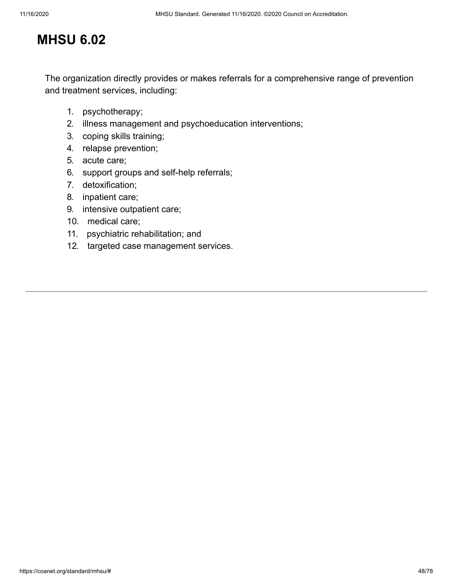# **MHSU 6.02**

The organization directly provides or makes referrals for a comprehensive range of prevention and treatment services, including:

- 1. psychotherapy;
- 2. illness management and psychoeducation interventions;
- 3. coping skills training;
- 4. relapse prevention;
- 5. acute care;
- 6. support groups and self-help referrals;
- 7. detoxification;
- 8. inpatient care;
- 9. intensive outpatient care;
- 10. medical care;
- 11. psychiatric rehabilitation; and
- 12. targeted case management services.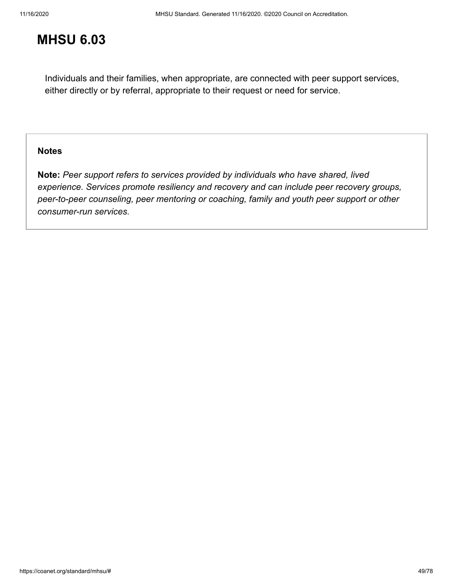# **MHSU 6.03**

Individuals and their families, when appropriate, are connected with peer support services, either directly or by referral, appropriate to their request or need for service.

### **[Notes](#page-48-0)**

<span id="page-48-0"></span>**Note:** *Peer support refers to services provided by individuals who have shared, lived experience. Services promote resiliency and recovery and can include peer recovery groups, peer-to-peer counseling, peer mentoring or coaching, family and youth peer support or other consumer-run services.*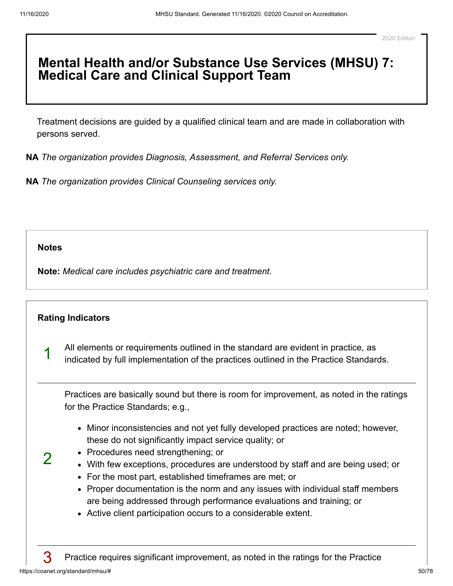## **Mental Health and/or Substance Use Services (MHSU) 7: Medical Care and Clinical Support Team**

Treatment decisions are guided by a qualified clinical team and are made in collaboration with persons served.

**NA** *The organization provides Diagnosis, Assessment, and Referral Services only.*

**NA** *The organization provides Clinical Counseling services only.*

**[Notes](#page-49-0)**

<span id="page-49-0"></span>**Note:** *Medical care includes psychiatric care and treatment.*

<span id="page-49-1"></span>

|   | <b>Rating Indicators</b>                                                                                                                                                                                                                                                                                                                                                                                                                                                                                                                                             |
|---|----------------------------------------------------------------------------------------------------------------------------------------------------------------------------------------------------------------------------------------------------------------------------------------------------------------------------------------------------------------------------------------------------------------------------------------------------------------------------------------------------------------------------------------------------------------------|
| ◢ | All elements or requirements outlined in the standard are evident in practice, as<br>indicated by full implementation of the practices outlined in the Practice Standards.                                                                                                                                                                                                                                                                                                                                                                                           |
|   | Practices are basically sound but there is room for improvement, as noted in the ratings<br>for the Practice Standards; e.g.,                                                                                                                                                                                                                                                                                                                                                                                                                                        |
|   | • Minor inconsistencies and not yet fully developed practices are noted; however,<br>these do not significantly impact service quality; or<br>• Procedures need strengthening; or<br>With few exceptions, procedures are understood by staff and are being used; or<br>For the most part, established timeframes are met; or<br>$\bullet$<br>Proper documentation is the norm and any issues with individual staff members<br>are being addressed through performance evaluations and training; or<br>• Active client participation occurs to a considerable extent. |
|   | Practice requires significant improvement, as noted in the ratings for the Practice                                                                                                                                                                                                                                                                                                                                                                                                                                                                                  |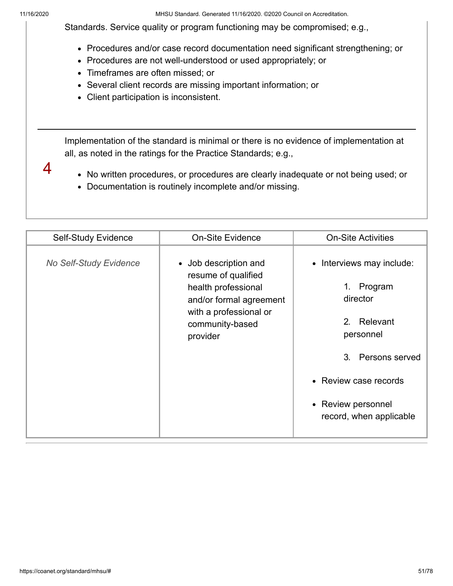4

11/16/2020 MHSU Standard. Generated 11/16/2020. ©2020 Council on Accreditation.

Standards. Service quality or program functioning may be compromised; e.g.,

- Procedures and/or case record documentation need significant strengthening; or
- Procedures are not well-understood or used appropriately; or
- Timeframes are often missed; or
- Several client records are missing important information; or
- Client participation is inconsistent.

Implementation of the standard is minimal or there is no evidence of implementation at all, as noted in the ratings for the Practice Standards; e.g.,

- No written procedures, or procedures are clearly inadequate or not being used; or
- Documentation is routinely incomplete and/or missing.

| Self-Study Evidence           | <b>On-Site Evidence</b>                                                                                                                                 | <b>On-Site Activities</b>                                                                                                                                                                              |
|-------------------------------|---------------------------------------------------------------------------------------------------------------------------------------------------------|--------------------------------------------------------------------------------------------------------------------------------------------------------------------------------------------------------|
| <b>No Self-Study Evidence</b> | • Job description and<br>resume of qualified<br>health professional<br>and/or formal agreement<br>with a professional or<br>community-based<br>provider | Interviews may include:<br>$\bullet$<br>Program<br>1.<br>director<br>2. Relevant<br>personnel<br>3.<br><b>Persons served</b><br>• Review case records<br>• Review personnel<br>record, when applicable |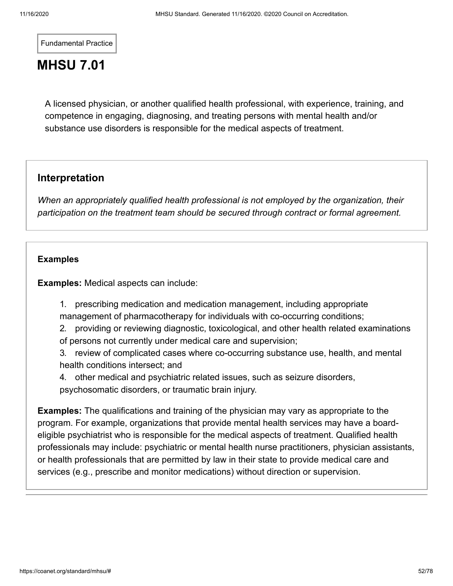Fundamental Practice

# **MHSU 7.01**

A licensed physician, or another qualified health professional, with experience, training, and competence in engaging, diagnosing, and treating persons with mental health and/or substance use disorders is responsible for the medical aspects of treatment.

### **Interpretation**

*When an appropriately qualified health professional is not employed by the organization, their participation on the treatment team should be secured through contract or formal agreement.*

### **[Examples](#page-51-0)**

<span id="page-51-0"></span>**Examples:** Medical aspects can include:

1. prescribing medication and medication management, including appropriate management of pharmacotherapy for individuals with co-occurring conditions;

2. providing or reviewing diagnostic, toxicological, and other health related examinations of persons not currently under medical care and supervision;

3. review of complicated cases where co-occurring substance use, health, and mental health conditions intersect; and

4. other medical and psychiatric related issues, such as seizure disorders, psychosomatic disorders, or traumatic brain injury.

**Examples:** The qualifications and training of the physician may vary as appropriate to the program. For example, organizations that provide mental health services may have a boardeligible psychiatrist who is responsible for the medical aspects of treatment. Qualified health professionals may include: psychiatric or mental health nurse practitioners, physician assistants, or health professionals that are permitted by law in their state to provide medical care and services (e.g., prescribe and monitor medications) without direction or supervision.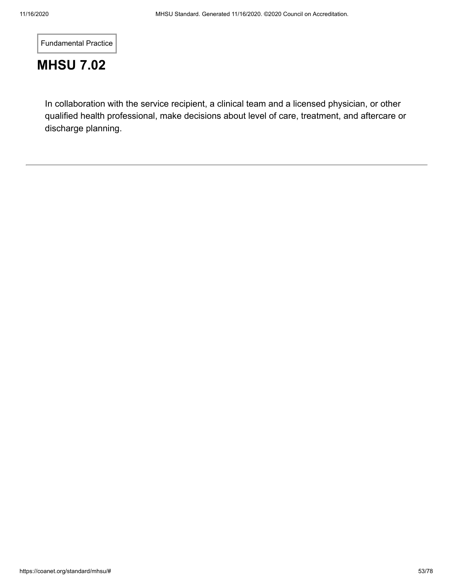Fundamental Practice

# **MHSU 7.02**

In collaboration with the service recipient, a clinical team and a licensed physician, or other qualified health professional, make decisions about level of care, treatment, and aftercare or discharge planning.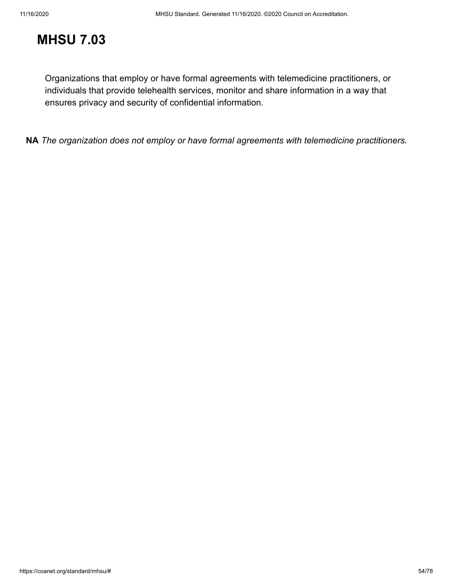# **MHSU 7.03**

Organizations that employ or have formal agreements with telemedicine practitioners, or individuals that provide telehealth services, monitor and share information in a way that ensures privacy and security of confidential information.

**NA** *The organization does not employ or have formal agreements with telemedicine practitioners.*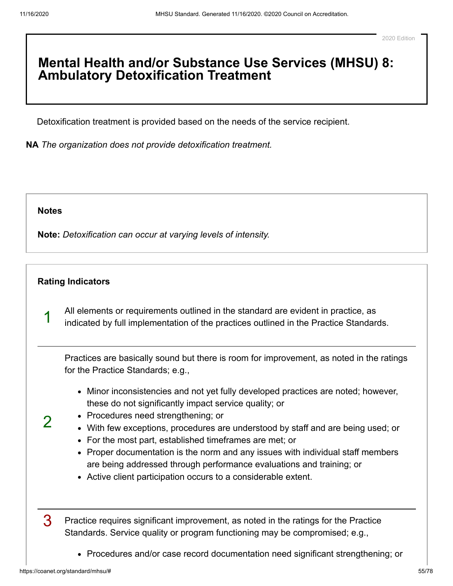### **Mental Health and/or Substance Use Services (MHSU) 8: Ambulatory Detoxification Treatment**

Detoxification treatment is provided based on the needs of the service recipient.

**NA** *The organization does not provide detoxification treatment.*

#### **[Notes](#page-54-0)**

 $\mathcal{P}$ 

<span id="page-54-0"></span>**Note:** *Detoxification can occur at varying levels of intensity.*

### **[Rating Indicators](#page-54-1)**

<span id="page-54-1"></span>1 All elements or requirements outlined in the standard are evident in practice, as indicated by full implementation of the practices outlined in the Practice Standards.

Practices are basically sound but there is room for improvement, as noted in the ratings for the Practice Standards; e.g.,

- Minor inconsistencies and not yet fully developed practices are noted; however, these do not significantly impact service quality; or
- Procedures need strengthening; or
- With few exceptions, procedures are understood by staff and are being used; or
- For the most part, established timeframes are met; or
- Proper documentation is the norm and any issues with individual staff members are being addressed through performance evaluations and training; or
- Active client participation occurs to a considerable extent.

3 Practice requires significant improvement, as noted in the ratings for the Practice Standards. Service quality or program functioning may be compromised; e.g.,

• Procedures and/or case record documentation need significant strengthening; or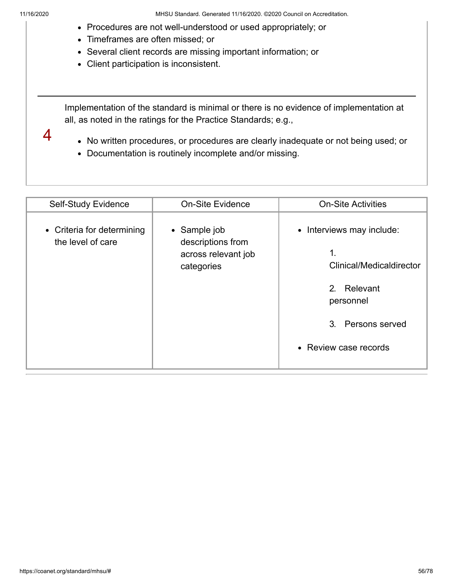4

- Procedures are not well-understood or used appropriately; or
- Timeframes are often missed; or
- Several client records are missing important information; or
- Client participation is inconsistent.

Implementation of the standard is minimal or there is no evidence of implementation at all, as noted in the ratings for the Practice Standards; e.g.,

- No written procedures, or procedures are clearly inadequate or not being used; or
- Documentation is routinely incomplete and/or missing.

| Self-Study Evidence                             | <b>On-Site Evidence</b>                                                | <b>On-Site Activities</b>                                                                                                             |
|-------------------------------------------------|------------------------------------------------------------------------|---------------------------------------------------------------------------------------------------------------------------------------|
| • Criteria for determining<br>the level of care | • Sample job<br>descriptions from<br>across relevant job<br>categories | • Interviews may include:<br>1.<br>Clinical/Medicaldirector<br>2. Relevant<br>personnel<br>3. Persons served<br>• Review case records |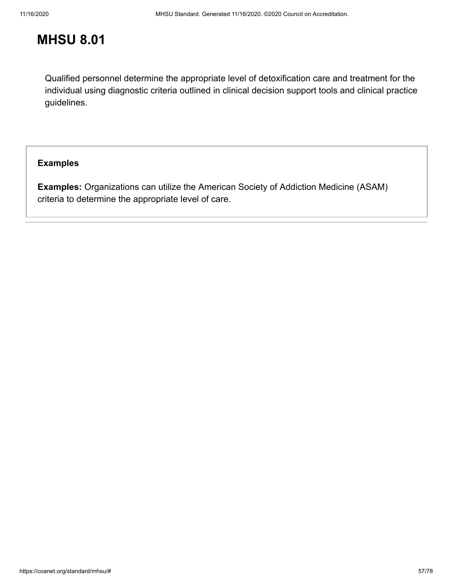## **MHSU 8.01**

Qualified personnel determine the appropriate level of detoxification care and treatment for the individual using diagnostic criteria outlined in clinical decision support tools and clinical practice guidelines.

### **[Examples](#page-56-0)**

<span id="page-56-0"></span>**Examples:** Organizations can utilize the American Society of Addiction Medicine (ASAM) criteria to determine the appropriate level of care.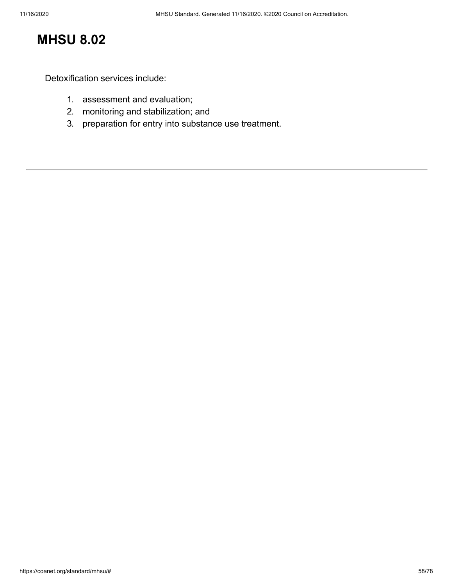# **MHSU 8.02**

Detoxification services include:

- 1. assessment and evaluation;
- 2. monitoring and stabilization; and
- 3. preparation for entry into substance use treatment.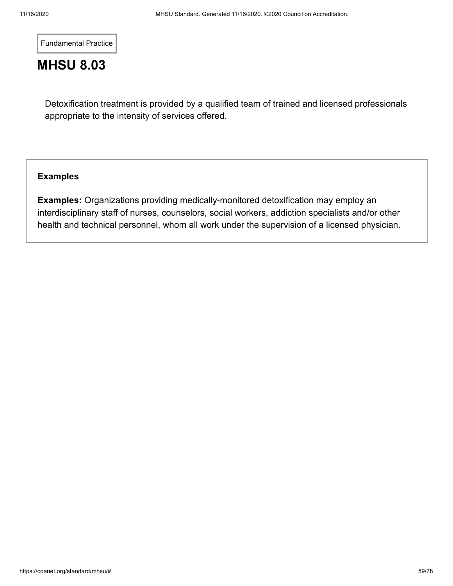Fundamental Practice

# **MHSU 8.03**

Detoxification treatment is provided by a qualified team of trained and licensed professionals appropriate to the intensity of services offered.

### **[Examples](#page-58-0)**

<span id="page-58-0"></span>**Examples:** Organizations providing medically-monitored detoxification may employ an interdisciplinary staff of nurses, counselors, social workers, addiction specialists and/or other health and technical personnel, whom all work under the supervision of a licensed physician.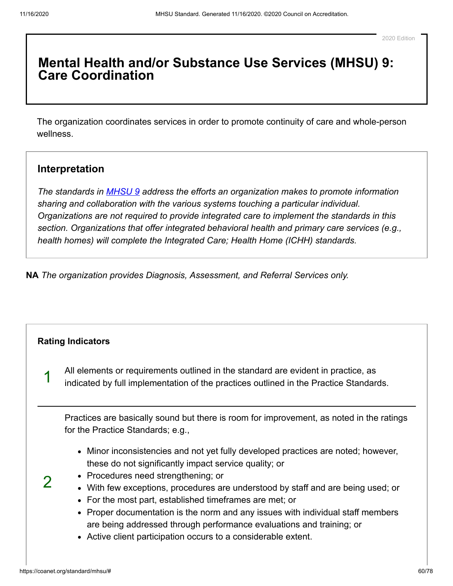### **Mental Health and/or Substance Use Services (MHSU) 9: Care Coordination**

The organization coordinates services in order to promote continuity of care and whole-person wellness.

### **Interpretation**

*The standards in [MHSU 9](https://coanet.org/standard/mhsu/9/) address the efforts an organization makes to promote information sharing and collaboration with the various systems touching a particular individual. Organizations are not required to provide integrated care to implement the standards in this section. Organizations that offer integrated behavioral health and primary care services (e.g., health homes) will complete the Integrated Care; Health Home (ICHH) standards.*

**NA** *The organization provides Diagnosis, Assessment, and Referral Services only.*

<span id="page-59-0"></span>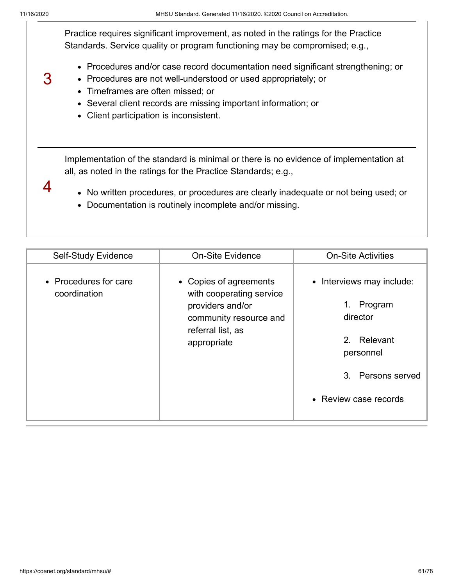4

3 Practice requires significant improvement, as noted in the ratings for the Practice Standards. Service quality or program functioning may be compromised; e.g., Procedures and/or case record documentation need significant strengthening; or Procedures are not well-understood or used appropriately; or Timeframes are often missed; or

- Several client records are missing important information; or
- Client participation is inconsistent.

Implementation of the standard is minimal or there is no evidence of implementation at all, as noted in the ratings for the Practice Standards; e.g.,

- No written procedures, or procedures are clearly inadequate or not being used; or
- Documentation is routinely incomplete and/or missing.

| Self-Study Evidence                   | <b>On-Site Evidence</b>                                                                                                              | <b>On-Site Activities</b>                                                                                                        |
|---------------------------------------|--------------------------------------------------------------------------------------------------------------------------------------|----------------------------------------------------------------------------------------------------------------------------------|
| • Procedures for care<br>coordination | • Copies of agreements<br>with cooperating service<br>providers and/or<br>community resource and<br>referral list, as<br>appropriate | • Interviews may include:<br>1.<br>Program<br>director<br>2. Relevant<br>personnel<br>3. Persons served<br>• Review case records |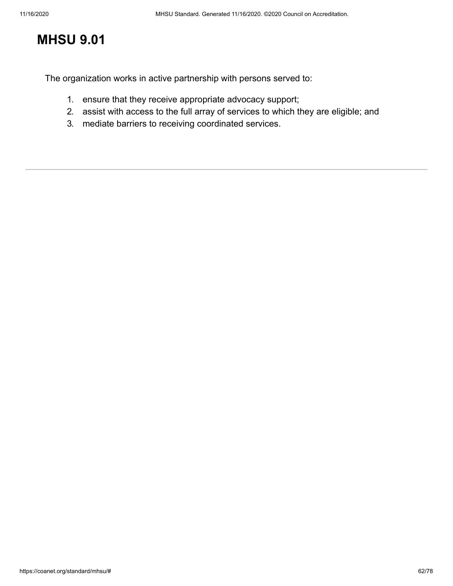# **MHSU 9.01**

The organization works in active partnership with persons served to:

- 1. ensure that they receive appropriate advocacy support;
- 2. assist with access to the full array of services to which they are eligible; and
- 3. mediate barriers to receiving coordinated services.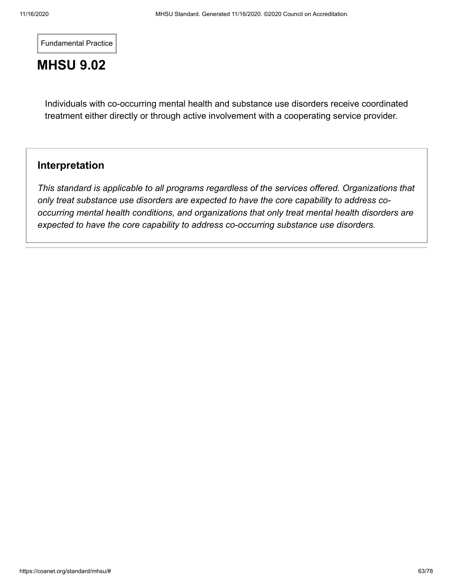Fundamental Practice

# **MHSU 9.02**

Individuals with co-occurring mental health and substance use disorders receive coordinated treatment either directly or through active involvement with a cooperating service provider.

### **Interpretation**

*This standard is applicable to all programs regardless of the services offered. Organizations that only treat substance use disorders are expected to have the core capability to address cooccurring mental health conditions, and organizations that only treat mental health disorders are expected to have the core capability to address co-occurring substance use disorders.*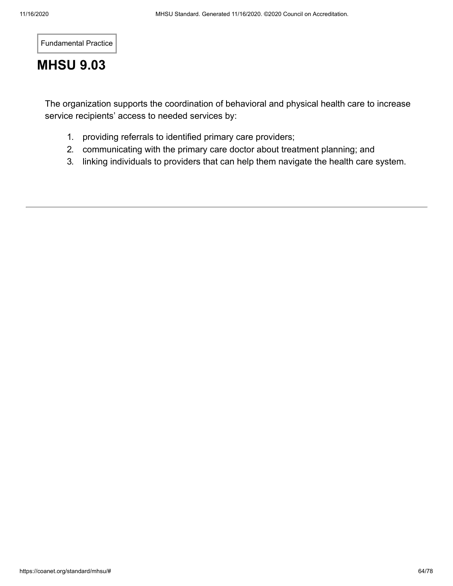Fundamental Practice

# **MHSU 9.03**

The organization supports the coordination of behavioral and physical health care to increase service recipients' access to needed services by:

- 1. providing referrals to identified primary care providers;
- 2. communicating with the primary care doctor about treatment planning; and
- 3. linking individuals to providers that can help them navigate the health care system.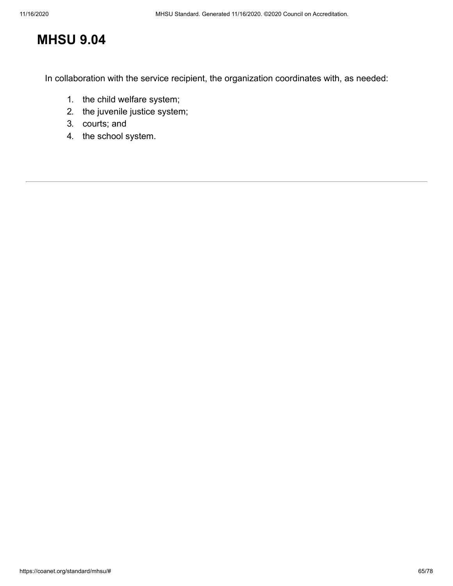# **MHSU 9.04**

In collaboration with the service recipient, the organization coordinates with, as needed:

- 1. the child welfare system;
- 2. the juvenile justice system;
- 3. courts; and
- 4. the school system.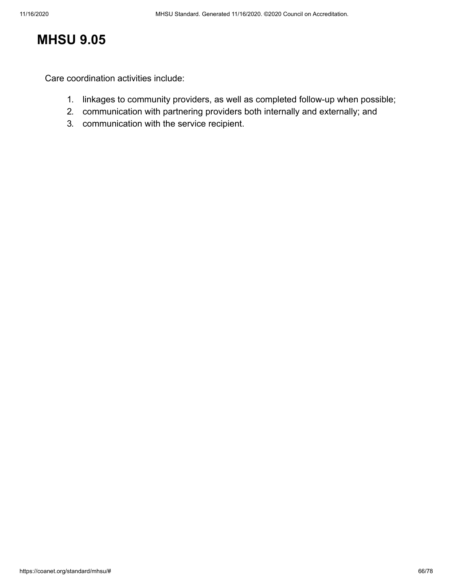# **MHSU 9.05**

Care coordination activities include:

- 1. linkages to community providers, as well as completed follow-up when possible;
- 2. communication with partnering providers both internally and externally; and
- 3. communication with the service recipient.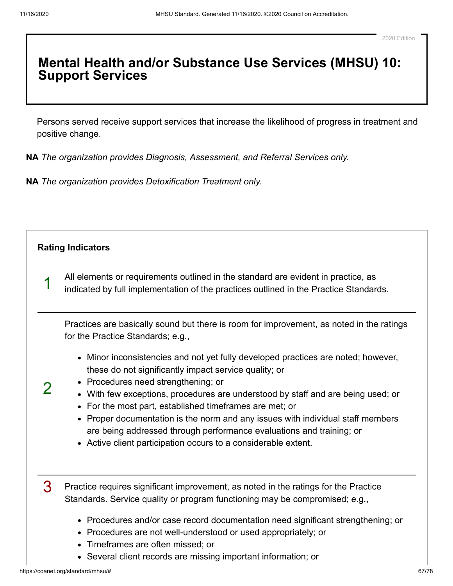### **Mental Health and/or Substance Use Services (MHSU) 10: Support Services**

Persons served receive support services that increase the likelihood of progress in treatment and positive change.

**NA** *The organization provides Diagnosis, Assessment, and Referral Services only.*

**NA** *The organization provides Detoxification Treatment only.*

<span id="page-66-0"></span>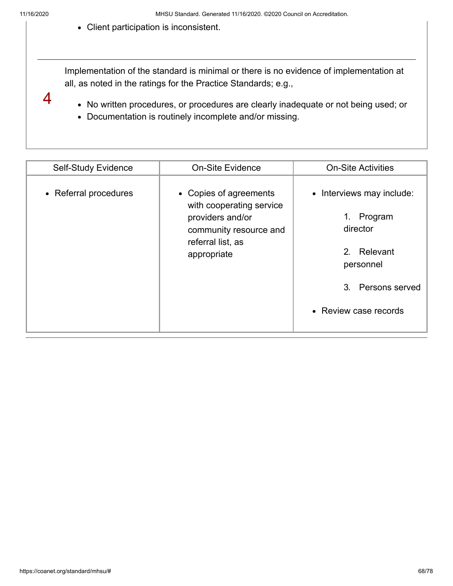4

Client participation is inconsistent.

Implementation of the standard is minimal or there is no evidence of implementation at all, as noted in the ratings for the Practice Standards; e.g.,

- No written procedures, or procedures are clearly inadequate or not being used; or
- Documentation is routinely incomplete and/or missing.

| <b>Self-Study Evidence</b> | <b>On-Site Evidence</b>                                                                                                              | <b>On-Site Activities</b>                                                                                                                 |
|----------------------------|--------------------------------------------------------------------------------------------------------------------------------------|-------------------------------------------------------------------------------------------------------------------------------------------|
| • Referral procedures      | • Copies of agreements<br>with cooperating service<br>providers and/or<br>community resource and<br>referral list, as<br>appropriate | • Interviews may include:<br>Program<br>$1_{\cdot}$<br>director<br>2. Relevant<br>personnel<br>3. Persons served<br>• Review case records |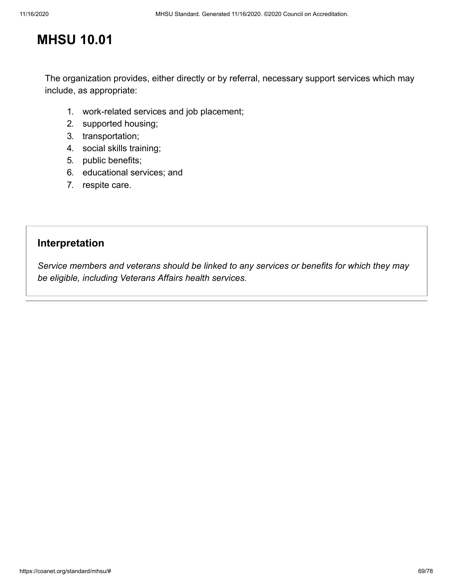# **MHSU 10.01**

The organization provides, either directly or by referral, necessary support services which may include, as appropriate:

- 1. work-related services and job placement;
- 2. supported housing;
- 3. transportation;
- 4. social skills training;
- 5. public benefits;
- 6. educational services; and
- 7. respite care.

### **Interpretation**

*Service members and veterans should be linked to any services or benefits for which they may be eligible, including Veterans Affairs health services.*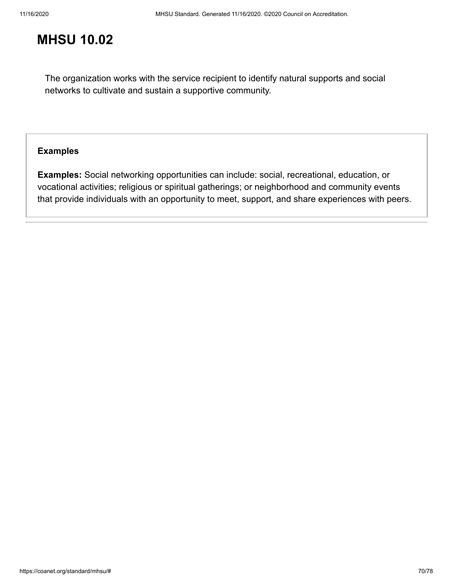# **MHSU 10.02**

The organization works with the service recipient to identify natural supports and social networks to cultivate and sustain a supportive community.

### **[Examples](#page-69-0)**

<span id="page-69-0"></span>**Examples:** Social networking opportunities can include: social, recreational, education, or vocational activities; religious or spiritual gatherings; or neighborhood and community events that provide individuals with an opportunity to meet, support, and share experiences with peers.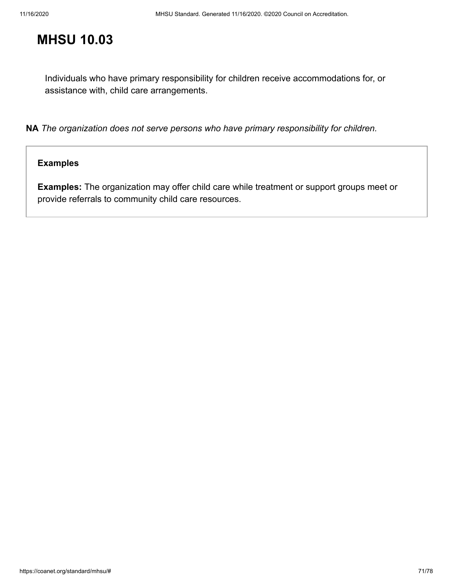# **MHSU 10.03**

Individuals who have primary responsibility for children receive accommodations for, or assistance with, child care arrangements.

**NA** *The organization does not serve persons who have primary responsibility for children.*

### **[Examples](#page-70-0)**

<span id="page-70-0"></span>**Examples:** The organization may offer child care while treatment or support groups meet or provide referrals to community child care resources.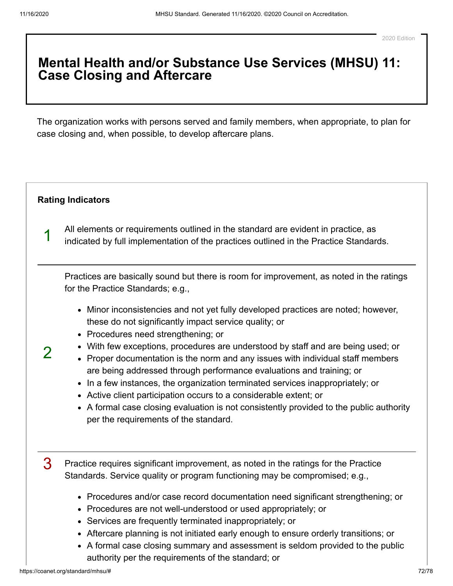### **Mental Health and/or Substance Use Services (MHSU) 11: Case Closing and Aftercare**

The organization works with persons served and family members, when appropriate, to plan for case closing and, when possible, to develop aftercare plans.

### **[Rating Indicators](#page-71-0)**

<span id="page-71-0"></span>1

2

All elements or requirements outlined in the standard are evident in practice, as indicated by full implementation of the practices outlined in the Practice Standards.

Practices are basically sound but there is room for improvement, as noted in the ratings for the Practice Standards; e.g.,

- Minor inconsistencies and not yet fully developed practices are noted; however, these do not significantly impact service quality; or
- Procedures need strengthening; or
- With few exceptions, procedures are understood by staff and are being used; or
- Proper documentation is the norm and any issues with individual staff members are being addressed through performance evaluations and training; or
- In a few instances, the organization terminated services inappropriately; or
- Active client participation occurs to a considerable extent; or
- A formal case closing evaluation is not consistently provided to the public authority per the requirements of the standard.

3 Practice requires significant improvement, as noted in the ratings for the Practice Standards. Service quality or program functioning may be compromised; e.g.,

- Procedures and/or case record documentation need significant strengthening; or
- Procedures are not well-understood or used appropriately; or
- Services are frequently terminated inappropriately; or
- Aftercare planning is not initiated early enough to ensure orderly transitions; or
- A formal case closing summary and assessment is seldom provided to the public authority per the requirements of the standard; or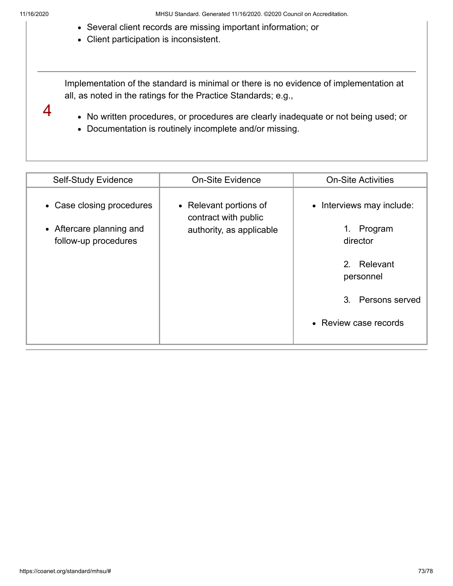4

- Several client records are missing important information; or
- Client participation is inconsistent.

Implementation of the standard is minimal or there is no evidence of implementation at all, as noted in the ratings for the Practice Standards; e.g.,

No written procedures, or procedures are clearly inadequate or not being used; or

Documentation is routinely incomplete and/or missing.

| <b>Self-Study Evidence</b>                                                    | <b>On-Site Evidence</b>                                                    | <b>On-Site Activities</b>                                                                                                        |
|-------------------------------------------------------------------------------|----------------------------------------------------------------------------|----------------------------------------------------------------------------------------------------------------------------------|
| • Case closing procedures<br>• Aftercare planning and<br>follow-up procedures | • Relevant portions of<br>contract with public<br>authority, as applicable | • Interviews may include:<br>Program<br>1.<br>director<br>2. Relevant<br>personnel<br>3. Persons served<br>• Review case records |
|                                                                               |                                                                            |                                                                                                                                  |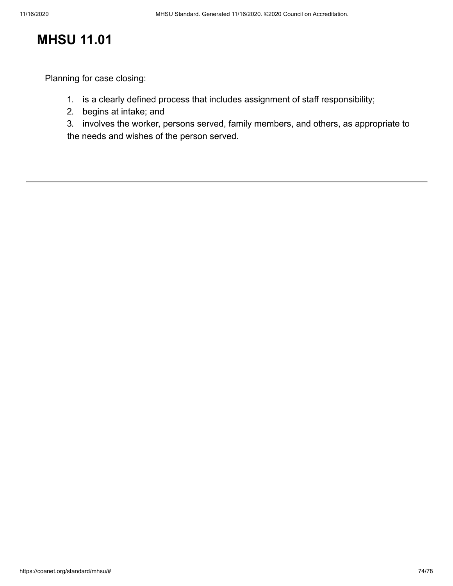Planning for case closing:

- 1. is a clearly defined process that includes assignment of staff responsibility;
- 2. begins at intake; and

3. involves the worker, persons served, family members, and others, as appropriate to the needs and wishes of the person served.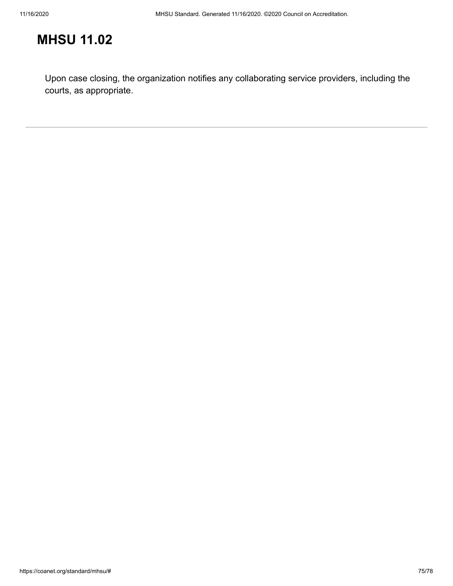Upon case closing, the organization notifies any collaborating service providers, including the courts, as appropriate.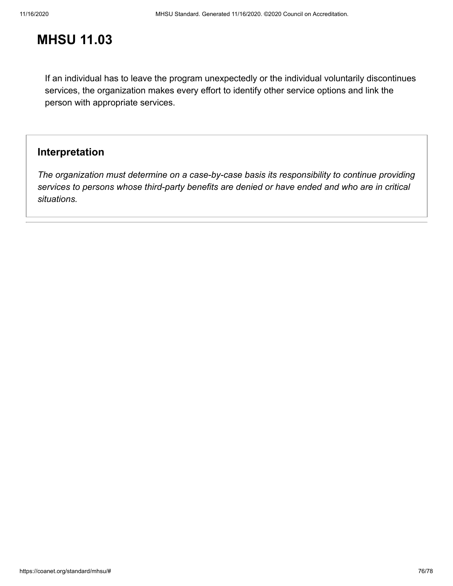If an individual has to leave the program unexpectedly or the individual voluntarily discontinues services, the organization makes every effort to identify other service options and link the person with appropriate services.

### **Interpretation**

*The organization must determine on a case-by-case basis its responsibility to continue providing services to persons whose third-party benefits are denied or have ended and who are in critical situations.*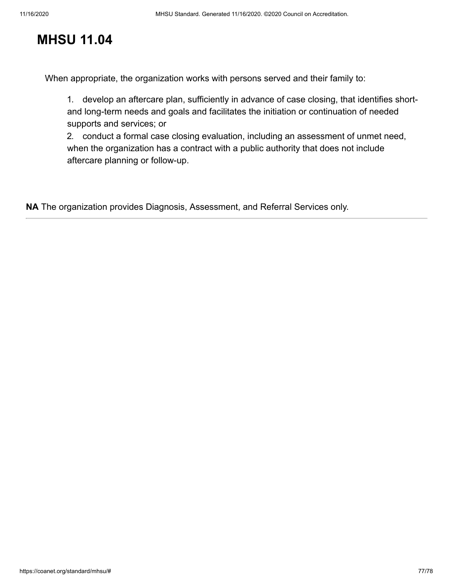When appropriate, the organization works with persons served and their family to:

1. develop an aftercare plan, sufficiently in advance of case closing, that identifies shortand long-term needs and goals and facilitates the initiation or continuation of needed supports and services; or

2. conduct a formal case closing evaluation, including an assessment of unmet need, when the organization has a contract with a public authority that does not include aftercare planning or follow-up.

**NA** The organization provides Diagnosis, Assessment, and Referral Services only.